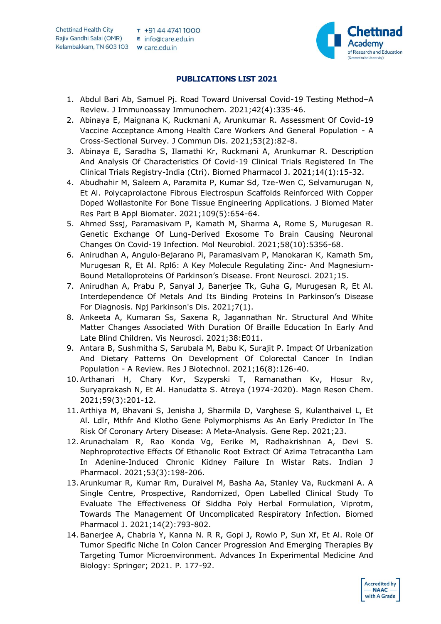

## **PUBLICATIONS LIST 2021**

- 1. Abdul Bari Ab, Samuel Pj. Road Toward Universal Covid-19 Testing Method–A Review. J Immunoassay Immunochem. 2021;42(4):335-46.
- 2. Abinaya E, Maignana K, Ruckmani A, Arunkumar R. Assessment Of Covid-19 Vaccine Acceptance Among Health Care Workers And General Population - A Cross-Sectional Survey. J Commun Dis. 2021;53(2):82-8.
- 3. Abinaya E, Saradha S, Ilamathi Kr, Ruckmani A, Arunkumar R. Description And Analysis Of Characteristics Of Covid-19 Clinical Trials Registered In The Clinical Trials Registry-India (Ctri). Biomed Pharmacol J. 2021;14(1):15-32.
- 4. Abudhahir M, Saleem A, Paramita P, Kumar Sd, Tze-Wen C, Selvamurugan N, Et Al. Polycaprolactone Fibrous Electrospun Scaffolds Reinforced With Copper Doped Wollastonite For Bone Tissue Engineering Applications. J Biomed Mater Res Part B Appl Biomater. 2021;109(5):654-64.
- 5. Ahmed Sssj, Paramasivam P, Kamath M, Sharma A, Rome S, Murugesan R. Genetic Exchange Of Lung-Derived Exosome To Brain Causing Neuronal Changes On Covid-19 Infection. Mol Neurobiol. 2021;58(10):5356-68.
- 6. Anirudhan A, Angulo-Bejarano Pi, Paramasivam P, Manokaran K, Kamath Sm, Murugesan R, Et Al. Rpl6: A Key Molecule Regulating Zinc- And Magnesium-Bound Metalloproteins Of Parkinson's Disease. Front Neurosci. 2021;15.
- 7. Anirudhan A, Prabu P, Sanyal J, Banerjee Tk, Guha G, Murugesan R, Et Al. Interdependence Of Metals And Its Binding Proteins In Parkinson's Disease For Diagnosis. Npj Parkinson's Dis. 2021;7(1).
- 8. Ankeeta A, Kumaran Ss, Saxena R, Jagannathan Nr. Structural And White Matter Changes Associated With Duration Of Braille Education In Early And Late Blind Children. Vis Neurosci. 2021;38:E011.
- 9. Antara B, Sushmitha S, Sarubala M, Babu K, Surajit P. Impact Of Urbanization And Dietary Patterns On Development Of Colorectal Cancer In Indian Population - A Review. Res J Biotechnol. 2021;16(8):126-40.
- 10.Arthanari H, Chary Kvr, Szyperski T, Ramanathan Kv, Hosur Rv, Suryaprakash N, Et Al. Hanudatta S. Atreya (1974-2020). Magn Reson Chem. 2021;59(3):201-12.
- 11.Arthiya M, Bhavani S, Jenisha J, Sharmila D, Varghese S, Kulanthaivel L, Et Al. Ldlr, Mthfr And Klotho Gene Polymorphisms As An Early Predictor In The Risk Of Coronary Artery Disease: A Meta-Analysis. Gene Rep. 2021;23.
- 12.Arunachalam R, Rao Konda Vg, Eerike M, Radhakrishnan A, Devi S. Nephroprotective Effects Of Ethanolic Root Extract Of Azima Tetracantha Lam In Adenine-Induced Chronic Kidney Failure In Wistar Rats. Indian J Pharmacol. 2021;53(3):198-206.
- 13.Arunkumar R, Kumar Rm, Duraivel M, Basha Aa, Stanley Va, Ruckmani A. A Single Centre, Prospective, Randomized, Open Labelled Clinical Study To Evaluate The Effectiveness Of Siddha Poly Herbal Formulation, Viprotm, Towards The Management Of Uncomplicated Respiratory Infection. Biomed Pharmacol J. 2021;14(2):793-802.
- 14.Banerjee A, Chabria Y, Kanna N. R R, Gopi J, Rowlo P, Sun Xf, Et Al. Role Of Tumor Specific Niche In Colon Cancer Progression And Emerging Therapies By Targeting Tumor Microenvironment. Advances In Experimental Medicine And Biology: Springer; 2021. P. 177-92.

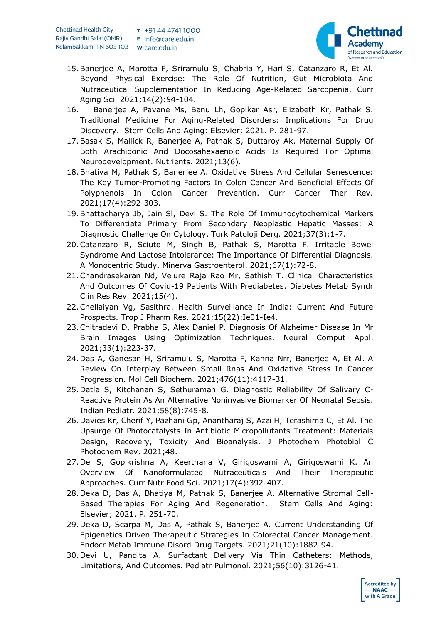

- 15.Banerjee A, Marotta F, Sriramulu S, Chabria Y, Hari S, Catanzaro R, Et Al. Beyond Physical Exercise: The Role Of Nutrition, Gut Microbiota And Nutraceutical Supplementation In Reducing Age-Related Sarcopenia. Curr Aging Sci. 2021;14(2):94-104.
- 16. Banerjee A, Pavane Ms, Banu Lh, Gopikar Asr, Elizabeth Kr, Pathak S. Traditional Medicine For Aging-Related Disorders: Implications For Drug Discovery. Stem Cells And Aging: Elsevier; 2021. P. 281-97.
- 17.Basak S, Mallick R, Banerjee A, Pathak S, Duttaroy Ak. Maternal Supply Of Both Arachidonic And Docosahexaenoic Acids Is Required For Optimal Neurodevelopment. Nutrients. 2021;13(6).
- 18.Bhatiya M, Pathak S, Banerjee A. Oxidative Stress And Cellular Senescence: The Key Tumor-Promoting Factors In Colon Cancer And Beneficial Effects Of Polyphenols In Colon Cancer Prevention. Curr Cancer Ther Rev. 2021;17(4):292-303.
- 19.Bhattacharya Jb, Jain Sl, Devi S. The Role Of Immunocytochemical Markers To Differentiate Primary From Secondary Neoplastic Hepatic Masses: A Diagnostic Challenge On Cytology. Turk Patoloji Derg. 2021;37(3):1-7.
- 20.Catanzaro R, Sciuto M, Singh B, Pathak S, Marotta F. Irritable Bowel Syndrome And Lactose Intolerance: The Importance Of Differential Diagnosis. A Monocentric Study. Minerva Gastroenterol. 2021;67(1):72-8.
- 21.Chandrasekaran Nd, Velure Raja Rao Mr, Sathish T. Clinical Characteristics And Outcomes Of Covid-19 Patients With Prediabetes. Diabetes Metab Syndr Clin Res Rev. 2021;15(4).
- 22.Chellaiyan Vg, Sasithra. Health Surveillance In India: Current And Future Prospects. Trop J Pharm Res. 2021;15(22):Ie01-Ie4.
- 23.Chitradevi D, Prabha S, Alex Daniel P. Diagnosis Of Alzheimer Disease In Mr Brain Images Using Optimization Techniques. Neural Comput Appl. 2021;33(1):223-37.
- 24.Das A, Ganesan H, Sriramulu S, Marotta F, Kanna Nrr, Banerjee A, Et Al. A Review On Interplay Between Small Rnas And Oxidative Stress In Cancer Progression. Mol Cell Biochem. 2021;476(11):4117-31.
- 25.Datla S, Kitchanan S, Sethuraman G. Diagnostic Reliability Of Salivary C-Reactive Protein As An Alternative Noninvasive Biomarker Of Neonatal Sepsis. Indian Pediatr. 2021;58(8):745-8.
- 26.Davies Kr, Cherif Y, Pazhani Gp, Anantharaj S, Azzi H, Terashima C, Et Al. The Upsurge Of Photocatalysts In Antibiotic Micropollutants Treatment: Materials Design, Recovery, Toxicity And Bioanalysis. J Photochem Photobiol C Photochem Rev. 2021;48.
- 27.De S, Gopikrishna A, Keerthana V, Girigoswami A, Girigoswami K. An Overview Of Nanoformulated Nutraceuticals And Their Therapeutic Approaches. Curr Nutr Food Sci. 2021;17(4):392-407.
- 28.Deka D, Das A, Bhatiya M, Pathak S, Banerjee A. Alternative Stromal Cell-Based Therapies For Aging And Regeneration. Stem Cells And Aging: Elsevier; 2021. P. 251-70.
- 29.Deka D, Scarpa M, Das A, Pathak S, Banerjee A. Current Understanding Of Epigenetics Driven Therapeutic Strategies In Colorectal Cancer Management. Endocr Metab Immune Disord Drug Targets. 2021;21(10):1882-94.
- 30.Devi U, Pandita A. Surfactant Delivery Via Thin Catheters: Methods, Limitations, And Outcomes. Pediatr Pulmonol. 2021;56(10):3126-41.

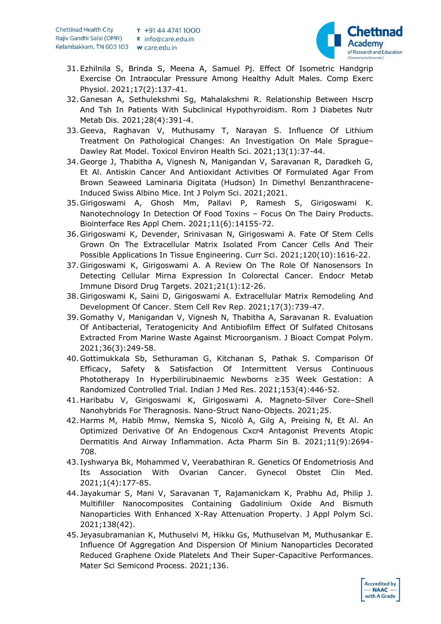

- 31.Ezhilnila S, Brinda S, Meena A, Samuel Pj. Effect Of Isometric Handgrip Exercise On Intraocular Pressure Among Healthy Adult Males. Comp Exerc Physiol. 2021;17(2):137-41.
- 32.Ganesan A, Sethulekshmi Sg, Mahalakshmi R. Relationship Between Hscrp And Tsh In Patients With Subclinical Hypothyroidism. Rom J Diabetes Nutr Metab Dis. 2021;28(4):391-4.
- 33.Geeva, Raghavan V, Muthusamy T, Narayan S. Influence Of Lithium Treatment On Pathological Changes: An Investigation On Male Sprague– Dawley Rat Model. Toxicol Environ Health Sci. 2021;13(1):37-44.
- 34.George J, Thabitha A, Vignesh N, Manigandan V, Saravanan R, Daradkeh G, Et Al. Antiskin Cancer And Antioxidant Activities Of Formulated Agar From Brown Seaweed Laminaria Digitata (Hudson) In Dimethyl Benzanthracene-Induced Swiss Albino Mice. Int J Polym Sci. 2021;2021.
- 35.Girigoswami A, Ghosh Mm, Pallavi P, Ramesh S, Girigoswami K. Nanotechnology In Detection Of Food Toxins – Focus On The Dairy Products. Biointerface Res Appl Chem. 2021;11(6):14155-72.
- 36.Girigoswami K, Devender, Srinivasan N, Girigoswami A. Fate Of Stem Cells Grown On The Extracellular Matrix Isolated From Cancer Cells And Their Possible Applications In Tissue Engineering. Curr Sci. 2021;120(10):1616-22.
- 37.Girigoswami K, Girigoswami A. A Review On The Role Of Nanosensors In Detecting Cellular Mirna Expression In Colorectal Cancer. Endocr Metab Immune Disord Drug Targets. 2021;21(1):12-26.
- 38.Girigoswami K, Saini D, Girigoswami A. Extracellular Matrix Remodeling And Development Of Cancer. Stem Cell Rev Rep. 2021;17(3):739-47.
- 39.Gomathy V, Manigandan V, Vignesh N, Thabitha A, Saravanan R. Evaluation Of Antibacterial, Teratogenicity And Antibiofilm Effect Of Sulfated Chitosans Extracted From Marine Waste Against Microorganism. J Bioact Compat Polym. 2021;36(3):249-58.
- 40.Gottimukkala Sb, Sethuraman G, Kitchanan S, Pathak S. Comparison Of Efficacy, Safety & Satisfaction Of Intermittent Versus Continuous Phototherapy In Hyperbilirubinaemic Newborns ≥35 Week Gestation: A Randomized Controlled Trial. Indian J Med Res. 2021;153(4):446-52.
- 41.Haribabu V, Girigoswami K, Girigoswami A. Magneto-Silver Core–Shell Nanohybrids For Theragnosis. Nano-Struct Nano-Objects. 2021;25.
- 42.Harms M, Habib Mmw, Nemska S, Nicolò A, Gilg A, Preising N, Et Al. An Optimized Derivative Of An Endogenous Cxcr4 Antagonist Prevents Atopic Dermatitis And Airway Inflammation. Acta Pharm Sin B. 2021;11(9):2694- 708.
- 43. Iyshwarya Bk, Mohammed V, Veerabathiran R. Genetics Of Endometriosis And Its Association With Ovarian Cancer. Gynecol Obstet Clin Med. 2021;1(4):177-85.
- 44. Jayakumar S, Mani V, Saravanan T, Rajamanickam K, Prabhu Ad, Philip J. Multifiller Nanocomposites Containing Gadolinium Oxide And Bismuth Nanoparticles With Enhanced X-Ray Attenuation Property. J Appl Polym Sci. 2021;138(42).
- 45. Jeyasubramanian K, Muthuselvi M, Hikku Gs, Muthuselvan M, Muthusankar E. Influence Of Aggregation And Dispersion Of Minium Nanoparticles Decorated Reduced Graphene Oxide Platelets And Their Super-Capacitive Performances. Mater Sci Semicond Process. 2021;136.

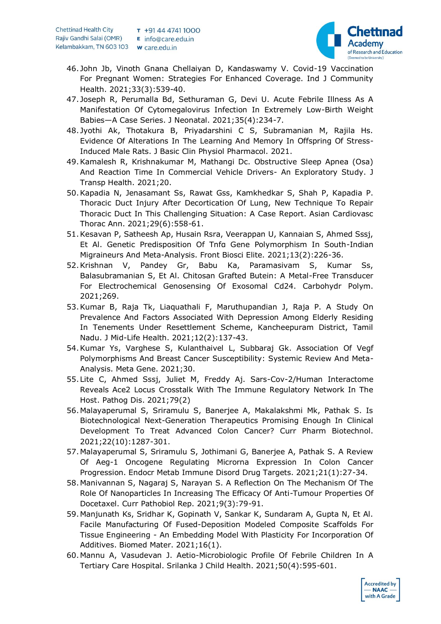

- 46. John Jb, Vinoth Gnana Chellaiyan D, Kandaswamy V. Covid-19 Vaccination For Pregnant Women: Strategies For Enhanced Coverage. Ind J Community Health. 2021;33(3):539-40.
- 47. Joseph R, Perumalla Bd, Sethuraman G, Devi U. Acute Febrile Illness As A Manifestation Of Cytomegalovirus Infection In Extremely Low-Birth Weight Babies—A Case Series. J Neonatal. 2021;35(4):234-7.
- 48. Jyothi Ak, Thotakura B, Priyadarshini C S, Subramanian M, Rajila Hs. Evidence Of Alterations In The Learning And Memory In Offspring Of Stress-Induced Male Rats. J Basic Clin Physiol Pharmacol. 2021.
- 49.Kamalesh R, Krishnakumar M, Mathangi Dc. Obstructive Sleep Apnea (Osa) And Reaction Time In Commercial Vehicle Drivers- An Exploratory Study. J Transp Health. 2021;20.
- 50.Kapadia N, Jenasamant Ss, Rawat Gss, Kamkhedkar S, Shah P, Kapadia P. Thoracic Duct Injury After Decortication Of Lung, New Technique To Repair Thoracic Duct In This Challenging Situation: A Case Report. Asian Cardiovasc Thorac Ann. 2021;29(6):558-61.
- 51.Kesavan P, Satheesh Ap, Husain Rsra, Veerappan U, Kannaian S, Ahmed Sssj, Et Al. Genetic Predisposition Of Tnfα Gene Polymorphism In South-Indian Migraineurs And Meta-Analysis. Front Biosci Elite. 2021;13(2):226-36.
- 52.Krishnan V, Pandey Gr, Babu Ka, Paramasivam S, Kumar Ss, Balasubramanian S, Et Al. Chitosan Grafted Butein: A Metal-Free Transducer For Electrochemical Genosensing Of Exosomal Cd24. Carbohydr Polym. 2021;269.
- 53.Kumar B, Raja Tk, Liaquathali F, Maruthupandian J, Raja P. A Study On Prevalence And Factors Associated With Depression Among Elderly Residing In Tenements Under Resettlement Scheme, Kancheepuram District, Tamil Nadu. J Mid-Life Health. 2021;12(2):137-43.
- 54.Kumar Ys, Varghese S, Kulanthaivel L, Subbaraj Gk. Association Of Vegf Polymorphisms And Breast Cancer Susceptibility: Systemic Review And Meta-Analysis. Meta Gene. 2021;30.
- 55.Lite C, Ahmed Sssj, Juliet M, Freddy Aj. Sars-Cov-2/Human Interactome Reveals Ace2 Locus Crosstalk With The Immune Regulatory Network In The Host. Pathog Dis. 2021;79(2)
- 56.Malayaperumal S, Sriramulu S, Banerjee A, Makalakshmi Mk, Pathak S. Is Biotechnological Next-Generation Therapeutics Promising Enough In Clinical Development To Treat Advanced Colon Cancer? Curr Pharm Biotechnol. 2021;22(10):1287-301.
- 57.Malayaperumal S, Sriramulu S, Jothimani G, Banerjee A, Pathak S. A Review Of Aeg-1 Oncogene Regulating Microrna Expression In Colon Cancer Progression. Endocr Metab Immune Disord Drug Targets. 2021;21(1):27-34.
- 58.Manivannan S, Nagaraj S, Narayan S. A Reflection On The Mechanism Of The Role Of Nanoparticles In Increasing The Efficacy Of Anti-Tumour Properties Of Docetaxel. Curr Pathobiol Rep. 2021;9(3):79-91.
- 59.Manjunath Ks, Sridhar K, Gopinath V, Sankar K, Sundaram A, Gupta N, Et Al. Facile Manufacturing Of Fused-Deposition Modeled Composite Scaffolds For Tissue Engineering - An Embedding Model With Plasticity For Incorporation Of Additives. Biomed Mater. 2021;16(1).
- 60.Mannu A, Vasudevan J. Aetio-Microbiologic Profile Of Febrile Children In A Tertiary Care Hospital. Srilanka J Child Health. 2021;50(4):595-601.

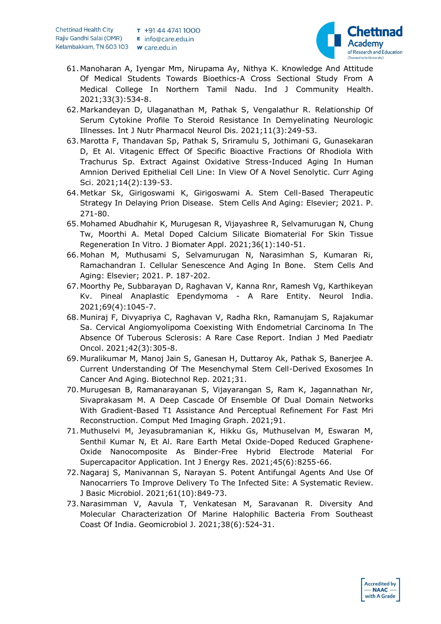

- 61.Manoharan A, Iyengar Mm, Nirupama Ay, Nithya K. Knowledge And Attitude Of Medical Students Towards Bioethics-A Cross Sectional Study From A Medical College In Northern Tamil Nadu. Ind J Community Health. 2021;33(3):534-8.
- 62.Markandeyan D, Ulaganathan M, Pathak S, Vengalathur R. Relationship Of Serum Cytokine Profile To Steroid Resistance In Demyelinating Neurologic Illnesses. Int J Nutr Pharmacol Neurol Dis. 2021;11(3):249-53.
- 63.Marotta F, Thandavan Sp, Pathak S, Sriramulu S, Jothimani G, Gunasekaran D, Et Al. Vitagenic Effect Of Specific Bioactive Fractions Of Rhodiola With Trachurus Sp. Extract Against Oxidative Stress-Induced Aging In Human Amnion Derived Epithelial Cell Line: In View Of A Novel Senolytic. Curr Aging Sci. 2021;14(2):139-53.
- 64.Metkar Sk, Girigoswami K, Girigoswami A. Stem Cell-Based Therapeutic Strategy In Delaying Prion Disease. Stem Cells And Aging: Elsevier; 2021. P. 271-80.
- 65.Mohamed Abudhahir K, Murugesan R, Vijayashree R, Selvamurugan N, Chung Tw, Moorthi A. Metal Doped Calcium Silicate Biomaterial For Skin Tissue Regeneration In Vitro. J Biomater Appl. 2021;36(1):140-51.
- 66.Mohan M, Muthusami S, Selvamurugan N, Narasimhan S, Kumaran Ri, Ramachandran I. Cellular Senescence And Aging In Bone. Stem Cells And Aging: Elsevier; 2021. P. 187-202.
- 67.Moorthy Pe, Subbarayan D, Raghavan V, Kanna Rnr, Ramesh Vg, Karthikeyan Kv. Pineal Anaplastic Ependymoma - A Rare Entity. Neurol India. 2021;69(4):1045-7.
- 68.Muniraj F, Divyapriya C, Raghavan V, Radha Rkn, Ramanujam S, Rajakumar Sa. Cervical Angiomyolipoma Coexisting With Endometrial Carcinoma In The Absence Of Tuberous Sclerosis: A Rare Case Report. Indian J Med Paediatr Oncol. 2021;42(3):305-8.
- 69.Muralikumar M, Manoj Jain S, Ganesan H, Duttaroy Ak, Pathak S, Banerjee A. Current Understanding Of The Mesenchymal Stem Cell-Derived Exosomes In Cancer And Aging. Biotechnol Rep. 2021;31.
- 70.Murugesan B, Ramanarayanan S, Vijayarangan S, Ram K, Jagannathan Nr, Sivaprakasam M. A Deep Cascade Of Ensemble Of Dual Domain Networks With Gradient-Based T1 Assistance And Perceptual Refinement For Fast Mri Reconstruction. Comput Med Imaging Graph. 2021;91.
- 71.Muthuselvi M, Jeyasubramanian K, Hikku Gs, Muthuselvan M, Eswaran M, Senthil Kumar N, Et Al. Rare Earth Metal Oxide-Doped Reduced Graphene-Oxide Nanocomposite As Binder-Free Hybrid Electrode Material For Supercapacitor Application. Int J Energy Res. 2021;45(6):8255-66.
- 72.Nagaraj S, Manivannan S, Narayan S. Potent Antifungal Agents And Use Of Nanocarriers To Improve Delivery To The Infected Site: A Systematic Review. J Basic Microbiol. 2021;61(10):849-73.
- 73.Narasimman V, Aavula T, Venkatesan M, Saravanan R. Diversity And Molecular Characterization Of Marine Halophilic Bacteria From Southeast Coast Of India. Geomicrobiol J. 2021;38(6):524-31.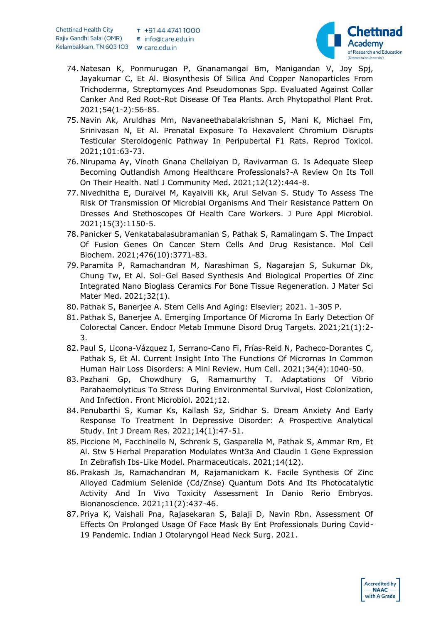

- 74.Natesan K, Ponmurugan P, Gnanamangai Bm, Manigandan V, Joy Spj, Jayakumar C, Et Al. Biosynthesis Of Silica And Copper Nanoparticles From Trichoderma, Streptomyces And Pseudomonas Spp. Evaluated Against Collar Canker And Red Root-Rot Disease Of Tea Plants. Arch Phytopathol Plant Prot. 2021;54(1-2):56-85.
- 75.Navin Ak, Aruldhas Mm, Navaneethabalakrishnan S, Mani K, Michael Fm, Srinivasan N, Et Al. Prenatal Exposure To Hexavalent Chromium Disrupts Testicular Steroidogenic Pathway In Peripubertal F1 Rats. Reprod Toxicol. 2021;101:63-73.
- 76.Nirupama Ay, Vinoth Gnana Chellaiyan D, Ravivarman G. Is Adequate Sleep Becoming Outlandish Among Healthcare Professionals?-A Review On Its Toll On Their Health. Natl J Community Med. 2021;12(12):444-8.
- 77.Nivedhitha E, Duraivel M, Kayalvili Kk, Arul Selvan S. Study To Assess The Risk Of Transmission Of Microbial Organisms And Their Resistance Pattern On Dresses And Stethoscopes Of Health Care Workers. J Pure Appl Microbiol. 2021;15(3):1150-5.
- 78.Panicker S, Venkatabalasubramanian S, Pathak S, Ramalingam S. The Impact Of Fusion Genes On Cancer Stem Cells And Drug Resistance. Mol Cell Biochem. 2021;476(10):3771-83.
- 79.Paramita P, Ramachandran M, Narashiman S, Nagarajan S, Sukumar Dk, Chung Tw, Et Al. Sol–Gel Based Synthesis And Biological Properties Of Zinc Integrated Nano Bioglass Ceramics For Bone Tissue Regeneration. J Mater Sci Mater Med. 2021;32(1).
- 80.Pathak S, Banerjee A. Stem Cells And Aging: Elsevier; 2021. 1-305 P.
- 81.Pathak S, Banerjee A. Emerging Importance Of Microrna In Early Detection Of Colorectal Cancer. Endocr Metab Immune Disord Drug Targets. 2021;21(1):2- 3.
- 82.Paul S, Licona-Vázquez I, Serrano-Cano Fi, Frías-Reid N, Pacheco-Dorantes C, Pathak S, Et Al. Current Insight Into The Functions Of Micrornas In Common Human Hair Loss Disorders: A Mini Review. Hum Cell. 2021;34(4):1040-50.
- 83.Pazhani Gp, Chowdhury G, Ramamurthy T. Adaptations Of Vibrio Parahaemolyticus To Stress During Environmental Survival, Host Colonization, And Infection. Front Microbiol. 2021;12.
- 84.Penubarthi S, Kumar Ks, Kailash Sz, Sridhar S. Dream Anxiety And Early Response To Treatment In Depressive Disorder: A Prospective Analytical Study. Int J Dream Res. 2021;14(1):47-51.
- 85.Piccione M, Facchinello N, Schrenk S, Gasparella M, Pathak S, Ammar Rm, Et Al. Stw 5 Herbal Preparation Modulates Wnt3a And Claudin 1 Gene Expression In Zebrafish Ibs-Like Model. Pharmaceuticals. 2021;14(12).
- 86.Prakash Js, Ramachandran M, Rajamanickam K. Facile Synthesis Of Zinc Alloyed Cadmium Selenide (Cd/Znse) Quantum Dots And Its Photocatalytic Activity And In Vivo Toxicity Assessment In Danio Rerio Embryos. Bionanoscience. 2021;11(2):437-46.
- 87.Priya K, Vaishali Pna, Rajasekaran S, Balaji D, Navin Rbn. Assessment Of Effects On Prolonged Usage Of Face Mask By Ent Professionals During Covid-19 Pandemic. Indian J Otolaryngol Head Neck Surg. 2021.

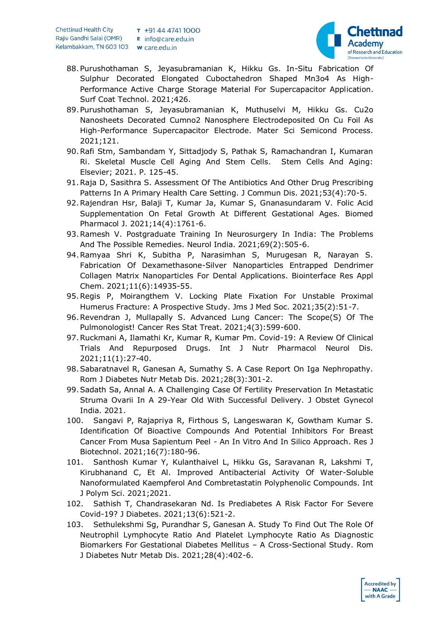

- 88.Purushothaman S, Jeyasubramanian K, Hikku Gs. In-Situ Fabrication Of Sulphur Decorated Elongated Cuboctahedron Shaped Mn3o4 As High-Performance Active Charge Storage Material For Supercapacitor Application. Surf Coat Technol. 2021;426.
- 89.Purushothaman S, Jeyasubramanian K, Muthuselvi M, Hikku Gs. Cu2o Nanosheets Decorated Cumno2 Nanosphere Electrodeposited On Cu Foil As High-Performance Supercapacitor Electrode. Mater Sci Semicond Process. 2021;121.
- 90.Rafi Stm, Sambandam Y, Sittadjody S, Pathak S, Ramachandran I, Kumaran Ri. Skeletal Muscle Cell Aging And Stem Cells. Stem Cells And Aging: Elsevier; 2021. P. 125-45.
- 91.Raja D, Sasithra S. Assessment Of The Antibiotics And Other Drug Prescribing Patterns In A Primary Health Care Setting. J Commun Dis. 2021;53(4):70-5.
- 92.Rajendran Hsr, Balaji T, Kumar Ja, Kumar S, Gnanasundaram V. Folic Acid Supplementation On Fetal Growth At Different Gestational Ages. Biomed Pharmacol J. 2021;14(4):1761-6.
- 93.Ramesh V. Postgraduate Training In Neurosurgery In India: The Problems And The Possible Remedies. Neurol India. 2021;69(2):505-6.
- 94.Ramyaa Shri K, Subitha P, Narasimhan S, Murugesan R, Narayan S. Fabrication Of Dexamethasone-Silver Nanoparticles Entrapped Dendrimer Collagen Matrix Nanoparticles For Dental Applications. Biointerface Res Appl Chem. 2021;11(6):14935-55.
- 95.Regis P, Moirangthem V. Locking Plate Fixation For Unstable Proximal Humerus Fracture: A Prospective Study. Jms J Med Soc. 2021;35(2):51-7.
- 96.Revendran J, Mullapally S. Advanced Lung Cancer: The Scope(S) Of The Pulmonologist! Cancer Res Stat Treat. 2021;4(3):599-600.
- 97.Ruckmani A, Ilamathi Kr, Kumar R, Kumar Pm. Covid-19: A Review Of Clinical Trials And Repurposed Drugs. Int J Nutr Pharmacol Neurol Dis. 2021;11(1):27-40.
- 98.Sabaratnavel R, Ganesan A, Sumathy S. A Case Report On Iga Nephropathy. Rom J Diabetes Nutr Metab Dis. 2021;28(3):301-2.
- 99.Sadath Sa, Annal A. A Challenging Case Of Fertility Preservation In Metastatic Struma Ovarii In A 29-Year Old With Successful Delivery. J Obstet Gynecol India. 2021.
- 100. Sangavi P, Rajapriya R, Firthous S, Langeswaran K, Gowtham Kumar S. Identification Of Bioactive Compounds And Potential Inhibitors For Breast Cancer From Musa Sapientum Peel - An In Vitro And In Silico Approach. Res J Biotechnol. 2021;16(7):180-96.
- 101. Santhosh Kumar Y, Kulanthaivel L, Hikku Gs, Saravanan R, Lakshmi T, Kirubhanand C, Et Al. Improved Antibacterial Activity Of Water-Soluble Nanoformulated Kaempferol And Combretastatin Polyphenolic Compounds. Int J Polym Sci. 2021;2021.
- 102. Sathish T, Chandrasekaran Nd. Is Prediabetes A Risk Factor For Severe Covid-19? J Diabetes. 2021;13(6):521-2.
- 103. Sethulekshmi Sg, Purandhar S, Ganesan A. Study To Find Out The Role Of Neutrophil Lymphocyte Ratio And Platelet Lymphocyte Ratio As Diagnostic Biomarkers For Gestational Diabetes Mellitus – A Cross-Sectional Study. Rom J Diabetes Nutr Metab Dis. 2021;28(4):402-6.

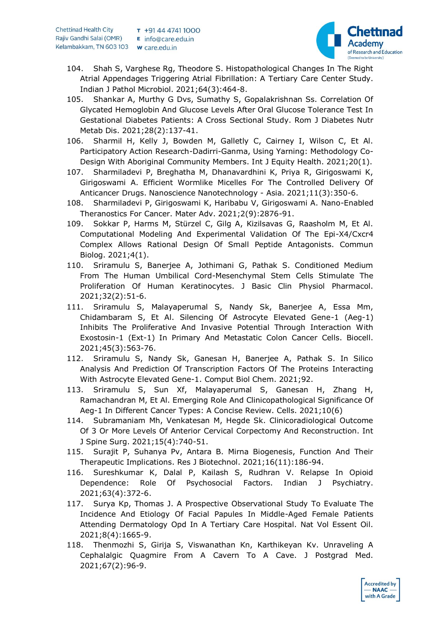

- 104. Shah S, Varghese Rg, Theodore S. Histopathological Changes In The Right Atrial Appendages Triggering Atrial Fibrillation: A Tertiary Care Center Study. Indian J Pathol Microbiol. 2021;64(3):464-8.
- 105. Shankar A, Murthy G Dvs, Sumathy S, Gopalakrishnan Ss. Correlation Of Glycated Hemoglobin And Glucose Levels After Oral Glucose Tolerance Test In Gestational Diabetes Patients: A Cross Sectional Study. Rom J Diabetes Nutr Metab Dis. 2021;28(2):137-41.
- 106. Sharmil H, Kelly J, Bowden M, Galletly C, Cairney I, Wilson C, Et Al. Participatory Action Research-Dadirri-Ganma, Using Yarning: Methodology Co-Design With Aboriginal Community Members. Int J Equity Health. 2021;20(1).
- 107. Sharmiladevi P, Breghatha M, Dhanavardhini K, Priya R, Girigoswami K, Girigoswami A. Efficient Wormlike Micelles For The Controlled Delivery Of Anticancer Drugs. Nanoscience Nanotechnology - Asia. 2021;11(3):350-6.
- 108. Sharmiladevi P, Girigoswami K, Haribabu V, Girigoswami A. Nano-Enabled Theranostics For Cancer. Mater Adv. 2021;2(9):2876-91.
- 109. Sokkar P, Harms M, Stürzel C, Gilg A, Kizilsavas G, Raasholm M, Et Al. Computational Modeling And Experimental Validation Of The Epi-X4/Cxcr4 Complex Allows Rational Design Of Small Peptide Antagonists. Commun Biolog. 2021;4(1).
- 110. Sriramulu S, Banerjee A, Jothimani G, Pathak S. Conditioned Medium From The Human Umbilical Cord-Mesenchymal Stem Cells Stimulate The Proliferation Of Human Keratinocytes. J Basic Clin Physiol Pharmacol. 2021;32(2):51-6.
- 111. Sriramulu S, Malayaperumal S, Nandy Sk, Banerjee A, Essa Mm, Chidambaram S, Et Al. Silencing Of Astrocyte Elevated Gene-1 (Aeg-1) Inhibits The Proliferative And Invasive Potential Through Interaction With Exostosin-1 (Ext-1) In Primary And Metastatic Colon Cancer Cells. Biocell. 2021;45(3):563-76.
- 112. Sriramulu S, Nandy Sk, Ganesan H, Banerjee A, Pathak S. In Silico Analysis And Prediction Of Transcription Factors Of The Proteins Interacting With Astrocyte Elevated Gene-1. Comput Biol Chem. 2021;92.
- 113. Sriramulu S, Sun Xf, Malayaperumal S, Ganesan H, Zhang H, Ramachandran M, Et Al. Emerging Role And Clinicopathological Significance Of Aeg-1 In Different Cancer Types: A Concise Review. Cells. 2021;10(6)
- 114. Subramaniam Mh, Venkatesan M, Hegde Sk. Clinicoradiological Outcome Of 3 Or More Levels Of Anterior Cervical Corpectomy And Reconstruction. Int J Spine Surg. 2021;15(4):740-51.
- 115. Surajit P, Suhanya Pv, Antara B. Mirna Biogenesis, Function And Their Therapeutic Implications. Res J Biotechnol. 2021;16(11):186-94.
- 116. Sureshkumar K, Dalal P, Kailash S, Rudhran V. Relapse In Opioid Dependence: Role Of Psychosocial Factors. Indian J Psychiatry. 2021;63(4):372-6.
- 117. Surya Kp, Thomas J. A Prospective Observational Study To Evaluate The Incidence And Etiology Of Facial Papules In Middle-Aged Female Patients Attending Dermatology Opd In A Tertiary Care Hospital. Nat Vol Essent Oil. 2021;8(4):1665-9.
- 118. Thenmozhi S, Girija S, Viswanathan Kn, Karthikeyan Kv. Unraveling A Cephalalgic Quagmire From A Cavern To A Cave. J Postgrad Med. 2021;67(2):96-9.

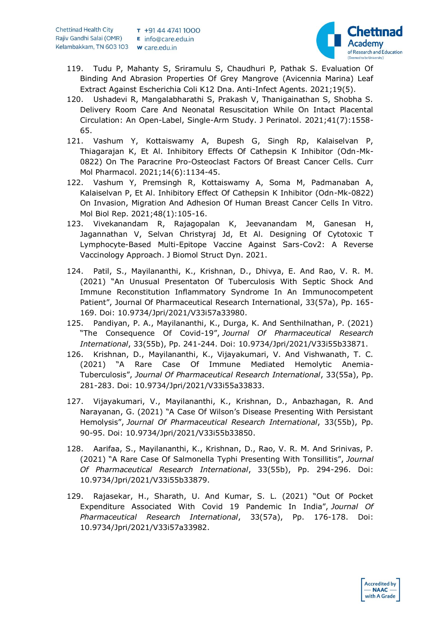

- 119. Tudu P, Mahanty S, Sriramulu S, Chaudhuri P, Pathak S. Evaluation Of Binding And Abrasion Properties Of Grey Mangrove (Avicennia Marina) Leaf Extract Against Escherichia Coli K12 Dna. Anti-Infect Agents. 2021;19(5).
- 120. Ushadevi R, Mangalabharathi S, Prakash V, Thanigainathan S, Shobha S. Delivery Room Care And Neonatal Resuscitation While On Intact Placental Circulation: An Open-Label, Single-Arm Study. J Perinatol. 2021;41(7):1558- 65.
- 121. Vashum Y, Kottaiswamy A, Bupesh G, Singh Rp, Kalaiselvan P, Thiagarajan K, Et Al. Inhibitory Effects Of Cathepsin K Inhibitor (Odn-Mk-0822) On The Paracrine Pro-Osteoclast Factors Of Breast Cancer Cells. Curr Mol Pharmacol. 2021;14(6):1134-45.
- 122. Vashum Y, Premsingh R, Kottaiswamy A, Soma M, Padmanaban A, Kalaiselvan P, Et Al. Inhibitory Effect Of Cathepsin K Inhibitor (Odn-Mk-0822) On Invasion, Migration And Adhesion Of Human Breast Cancer Cells In Vitro. Mol Biol Rep. 2021;48(1):105-16.
- 123. Vivekanandam R, Rajagopalan K, Jeevanandam M, Ganesan H, Jagannathan V, Selvan Christyraj Jd, Et Al. Designing Of Cytotoxic T Lymphocyte-Based Multi-Epitope Vaccine Against Sars-Cov2: A Reverse Vaccinology Approach. J Biomol Struct Dyn. 2021.
- 124. Patil, S., Mayilananthi, K., Krishnan, D., Dhivya, E. And Rao, V. R. M. (2021) "An Unusual Presentaton Of Tuberculosis With Septic Shock And Immune Reconstitution Inflammatory Syndrome In An Immunocompetent Patient", Journal Of Pharmaceutical Research International, 33(57a), Pp. 165- 169. Doi: 10.9734/Jpri/2021/V33i57a33980.
- 125. Pandiyan, P. A., Mayilananthi, K., Durga, K. And Senthilnathan, P. (2021) "The Consequence Of Covid-19", *Journal Of Pharmaceutical Research International*, 33(55b), Pp. 241-244. Doi: 10.9734/Jpri/2021/V33i55b33871.
- 126. Krishnan, D., Mayilananthi, K., Vijayakumari, V. And Vishwanath, T. C. (2021) "A Rare Case Of Immune Mediated Hemolytic Anemia-Tuberculosis", *Journal Of Pharmaceutical Research International*, 33(55a), Pp. 281-283. Doi: 10.9734/Jpri/2021/V33i55a33833.
- 127. Vijayakumari, V., Mayilananthi, K., Krishnan, D., Anbazhagan, R. And Narayanan, G. (2021) "A Case Of Wilson's Disease Presenting With Persistant Hemolysis", *Journal Of Pharmaceutical Research International*, 33(55b), Pp. 90-95. Doi: 10.9734/Jpri/2021/V33i55b33850.
- 128. Aarifaa, S., Mayilananthi, K., Krishnan, D., Rao, V. R. M. And Srinivas, P. (2021) "A Rare Case Of Salmonella Typhi Presenting With Tonsillitis", *Journal Of Pharmaceutical Research International*, 33(55b), Pp. 294-296. Doi: 10.9734/Jpri/2021/V33i55b33879.
- 129. Rajasekar, H., Sharath, U. And Kumar, S. L. (2021) "Out Of Pocket Expenditure Associated With Covid 19 Pandemic In India", *Journal Of Pharmaceutical Research International*, 33(57a), Pp. 176-178. Doi: 10.9734/Jpri/2021/V33i57a33982.

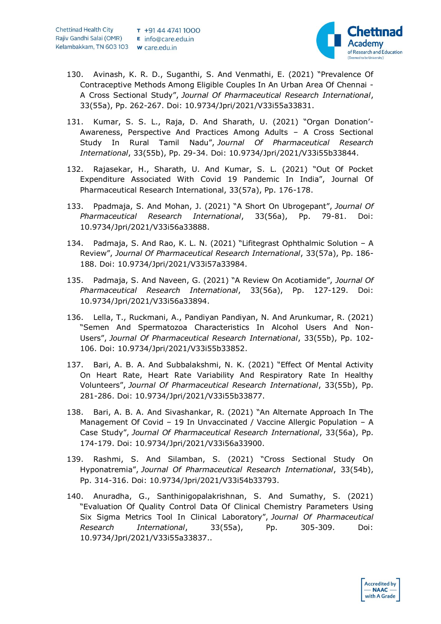

- 130. Avinash, K. R. D., Suganthi, S. And Venmathi, E. (2021) "Prevalence Of Contraceptive Methods Among Eligible Couples In An Urban Area Of Chennai - A Cross Sectional Study", *Journal Of Pharmaceutical Research International*, 33(55a), Pp. 262-267. Doi: 10.9734/Jpri/2021/V33i55a33831.
- 131. Kumar, S. S. L., Raja, D. And Sharath, U. (2021) "Organ Donation'- Awareness, Perspective And Practices Among Adults – A Cross Sectional Study In Rural Tamil Nadu", *Journal Of Pharmaceutical Research International*, 33(55b), Pp. 29-34. Doi: 10.9734/Jpri/2021/V33i55b33844.
- 132. Rajasekar, H., Sharath, U. And Kumar, S. L. (2021) "Out Of Pocket Expenditure Associated With Covid 19 Pandemic In India", Journal Of Pharmaceutical Research International, 33(57a), Pp. 176-178.
- 133. Ppadmaja, S. And Mohan, J. (2021) "A Short On Ubrogepant", *Journal Of Pharmaceutical Research International*, 33(56a), Pp. 79-81. Doi: 10.9734/Jpri/2021/V33i56a33888.
- 134. Padmaja, S. And Rao, K. L. N. (2021) "Lifitegrast Ophthalmic Solution A Review", *Journal Of Pharmaceutical Research International*, 33(57a), Pp. 186- 188. Doi: 10.9734/Jpri/2021/V33i57a33984.
- 135. Padmaja, S. And Naveen, G. (2021) "A Review On Acotiamide", *Journal Of Pharmaceutical Research International*, 33(56a), Pp. 127-129. Doi: 10.9734/Jpri/2021/V33i56a33894.
- 136. Lella, T., Ruckmani, A., Pandiyan Pandiyan, N. And Arunkumar, R. (2021) "Semen And Spermatozoa Characteristics In Alcohol Users And Non-Users", *Journal Of Pharmaceutical Research International*, 33(55b), Pp. 102- 106. Doi: 10.9734/Jpri/2021/V33i55b33852.
- 137. Bari, A. B. A. And Subbalakshmi, N. K. (2021) "Effect Of Mental Activity On Heart Rate, Heart Rate Variability And Respiratory Rate In Healthy Volunteers", *Journal Of Pharmaceutical Research International*, 33(55b), Pp. 281-286. Doi: 10.9734/Jpri/2021/V33i55b33877.
- 138. Bari, A. B. A. And Sivashankar, R. (2021) "An Alternate Approach In The Management Of Covid – 19 In Unvaccinated / Vaccine Allergic Population – A Case Study", *Journal Of Pharmaceutical Research International*, 33(56a), Pp. 174-179. Doi: 10.9734/Jpri/2021/V33i56a33900.
- 139. Rashmi, S. And Silamban, S. (2021) "Cross Sectional Study On Hyponatremia", *Journal Of Pharmaceutical Research International*, 33(54b), Pp. 314-316. Doi: 10.9734/Jpri/2021/V33i54b33793.
- 140. Anuradha, G., Santhinigopalakrishnan, S. And Sumathy, S. (2021) "Evaluation Of Quality Control Data Of Clinical Chemistry Parameters Using Six Sigma Metrics Tool In Clinical Laboratory", *Journal Of Pharmaceutical Research International*, 33(55a), Pp. 305-309. Doi: 10.9734/Jpri/2021/V33i55a33837..

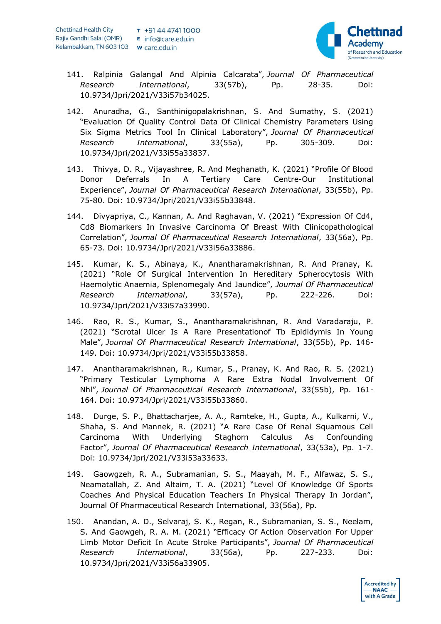

- 141. Ralpinia Galangal And Alpinia Calcarata", *Journal Of Pharmaceutical Research International*, 33(57b), Pp. 28-35. Doi: 10.9734/Jpri/2021/V33i57b34025.
- 142. Anuradha, G., Santhinigopalakrishnan, S. And Sumathy, S. (2021) "Evaluation Of Quality Control Data Of Clinical Chemistry Parameters Using Six Sigma Metrics Tool In Clinical Laboratory", *Journal Of Pharmaceutical Research International*, 33(55a), Pp. 305-309. Doi: 10.9734/Jpri/2021/V33i55a33837.
- 143. Thivya, D. R., Vijayashree, R. And Meghanath, K. (2021) "Profile Of Blood Donor Deferrals In A Tertiary Care Centre-Our Institutional Experience", *Journal Of Pharmaceutical Research International*, 33(55b), Pp. 75-80. Doi: 10.9734/Jpri/2021/V33i55b33848.
- 144. Divyapriya, C., Kannan, A. And Raghavan, V. (2021) "Expression Of Cd4, Cd8 Biomarkers In Invasive Carcinoma Of Breast With Clinicopathological Correlation", *Journal Of Pharmaceutical Research International*, 33(56a), Pp. 65-73. Doi: 10.9734/Jpri/2021/V33i56a33886.
- 145. Kumar, K. S., Abinaya, K., Anantharamakrishnan, R. And Pranay, K. (2021) "Role Of Surgical Intervention In Hereditary Spherocytosis With Haemolytic Anaemia, Splenomegaly And Jaundice", *Journal Of Pharmaceutical Research International*, 33(57a), Pp. 222-226. Doi: 10.9734/Jpri/2021/V33i57a33990.
- 146. Rao, R. S., Kumar, S., Anantharamakrishnan, R. And Varadaraju, P. (2021) "Scrotal Ulcer Is A Rare Presentationof Tb Epididymis In Young Male", *Journal Of Pharmaceutical Research International*, 33(55b), Pp. 146- 149. Doi: 10.9734/Jpri/2021/V33i55b33858.
- 147. Anantharamakrishnan, R., Kumar, S., Pranay, K. And Rao, R. S. (2021) "Primary Testicular Lymphoma A Rare Extra Nodal Involvement Of Nhl", *Journal Of Pharmaceutical Research International*, 33(55b), Pp. 161- 164. Doi: 10.9734/Jpri/2021/V33i55b33860.
- 148. Durge, S. P., Bhattacharjee, A. A., Ramteke, H., Gupta, A., Kulkarni, V., Shaha, S. And Mannek, R. (2021) "A Rare Case Of Renal Squamous Cell Carcinoma With Underlying Staghorn Calculus As Confounding Factor", *Journal Of Pharmaceutical Research International*, 33(53a), Pp. 1-7. Doi: 10.9734/Jpri/2021/V33i53a33633.
- 149. Gaowgzeh, R. A., Subramanian, S. S., Maayah, M. F., Alfawaz, S. S., Neamatallah, Z. And Altaim, T. A. (2021) "Level Of Knowledge Of Sports Coaches And Physical Education Teachers In Physical Therapy In Jordan", Journal Of Pharmaceutical Research International, 33(56a), Pp.
- 150. Anandan, A. D., Selvaraj, S. K., Regan, R., Subramanian, S. S., Neelam, S. And Gaowgeh, R. A. M. (2021) "Efficacy Of Action Observation For Upper Limb Motor Deficit In Acute Stroke Participants", *Journal Of Pharmaceutical Research International*, 33(56a), Pp. 227-233. Doi: 10.9734/Jpri/2021/V33i56a33905.

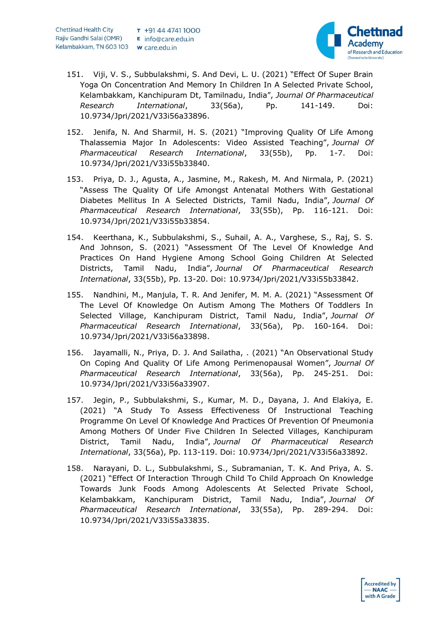

- 151. Viji, V. S., Subbulakshmi, S. And Devi, L. U. (2021) "Effect Of Super Brain Yoga On Concentration And Memory In Children In A Selected Private School, Kelambakkam, Kanchipuram Dt, Tamilnadu, India", *Journal Of Pharmaceutical Research International*, 33(56a), Pp. 141-149. Doi: 10.9734/Jpri/2021/V33i56a33896.
- 152. Jenifa, N. And Sharmil, H. S. (2021) "Improving Quality Of Life Among Thalassemia Major In Adolescents: Video Assisted Teaching", *Journal Of Pharmaceutical Research International*, 33(55b), Pp. 1-7. Doi: 10.9734/Jpri/2021/V33i55b33840.
- 153. Priya, D. J., Agusta, A., Jasmine, M., Rakesh, M. And Nirmala, P. (2021) "Assess The Quality Of Life Amongst Antenatal Mothers With Gestational Diabetes Mellitus In A Selected Districts, Tamil Nadu, India", *Journal Of Pharmaceutical Research International*, 33(55b), Pp. 116-121. Doi: 10.9734/Jpri/2021/V33i55b33854.
- 154. Keerthana, K., Subbulakshmi, S., Suhail, A. A., Varghese, S., Raj, S. S. And Johnson, S. (2021) "Assessment Of The Level Of Knowledge And Practices On Hand Hygiene Among School Going Children At Selected Districts, Tamil Nadu, India", *Journal Of Pharmaceutical Research International*, 33(55b), Pp. 13-20. Doi: 10.9734/Jpri/2021/V33i55b33842.
- 155. Nandhini, M., Manjula, T. R. And Jenifer, M. M. A. (2021) "Assessment Of The Level Of Knowledge On Autism Among The Mothers Of Toddlers In Selected Village, Kanchipuram District, Tamil Nadu, India", *Journal Of Pharmaceutical Research International*, 33(56a), Pp. 160-164. Doi: 10.9734/Jpri/2021/V33i56a33898.
- 156. Jayamalli, N., Priya, D. J. And Sailatha, . (2021) "An Observational Study On Coping And Quality Of Life Among Perimenopausal Women", *Journal Of Pharmaceutical Research International*, 33(56a), Pp. 245-251. Doi: 10.9734/Jpri/2021/V33i56a33907.
- 157. Jegin, P., Subbulakshmi, S., Kumar, M. D., Dayana, J. And Elakiya, E. (2021) "A Study To Assess Effectiveness Of Instructional Teaching Programme On Level Of Knowledge And Practices Of Prevention Of Pneumonia Among Mothers Of Under Five Children In Selected Villages, Kanchipuram District, Tamil Nadu, India", *Journal Of Pharmaceutical Research International*, 33(56a), Pp. 113-119. Doi: 10.9734/Jpri/2021/V33i56a33892.
- 158. Narayani, D. L., Subbulakshmi, S., Subramanian, T. K. And Priya, A. S. (2021) "Effect Of Interaction Through Child To Child Approach On Knowledge Towards Junk Foods Among Adolescents At Selected Private School, Kelambakkam, Kanchipuram District, Tamil Nadu, India", *Journal Of Pharmaceutical Research International*, 33(55a), Pp. 289-294. Doi: 10.9734/Jpri/2021/V33i55a33835.

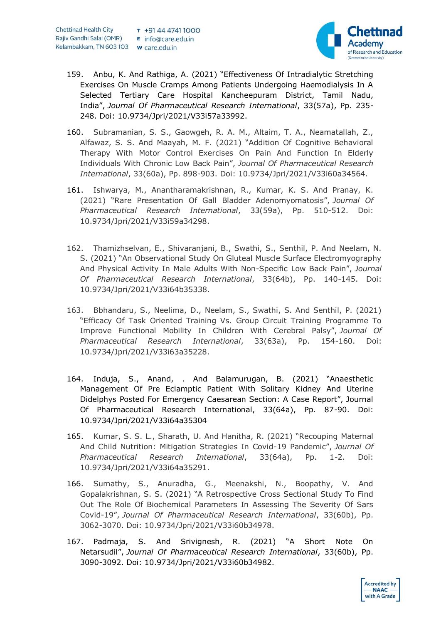

- 159. Anbu, K. And Rathiga, A. (2021) "Effectiveness Of Intradialytic Stretching Exercises On Muscle Cramps Among Patients Undergoing Haemodialysis In A Selected Tertiary Care Hospital Kancheepuram District, Tamil Nadu, India", *Journal Of Pharmaceutical Research International*, 33(57a), Pp. 235- 248. Doi: 10.9734/Jpri/2021/V33i57a33992.
- 160. Subramanian, S. S., Gaowgeh, R. A. M., Altaim, T. A., Neamatallah, Z., Alfawaz, S. S. And Maayah, M. F. (2021) "Addition Of Cognitive Behavioral Therapy With Motor Control Exercises On Pain And Function In Elderly Individuals With Chronic Low Back Pain", *Journal Of Pharmaceutical Research International*, 33(60a), Pp. 898-903. Doi: 10.9734/Jpri/2021/V33i60a34564.
- 161. Ishwarya, M., Anantharamakrishnan, R., Kumar, K. S. And Pranay, K. (2021) "Rare Presentation Of Gall Bladder Adenomyomatosis", *Journal Of Pharmaceutical Research International*, 33(59a), Pp. 510-512. Doi: 10.9734/Jpri/2021/V33i59a34298.
- 162. Thamizhselvan, E., Shivaranjani, B., Swathi, S., Senthil, P. And Neelam, N. S. (2021) "An Observational Study On Gluteal Muscle Surface Electromyography And Physical Activity In Male Adults With Non-Specific Low Back Pain", *Journal Of Pharmaceutical Research International*, 33(64b), Pp. 140-145. Doi: 10.9734/Jpri/2021/V33i64b35338.
- 163. Bbhandaru, S., Neelima, D., Neelam, S., Swathi, S. And Senthil, P. (2021) "Efficacy Of Task Oriented Training Vs. Group Circuit Training Programme To Improve Functional Mobility In Children With Cerebral Palsy", *Journal Of Pharmaceutical Research International*, 33(63a), Pp. 154-160. Doi: 10.9734/Jpri/2021/V33i63a35228.
- 164. Induja, S., Anand, . And Balamurugan, B. (2021) "Anaesthetic Management Of Pre Eclamptic Patient With Solitary Kidney And Uterine Didelphys Posted For Emergency Caesarean Section: A Case Report", Journal Of Pharmaceutical Research International, 33(64a), Pp. 87-90. Doi: 10.9734/Jpri/2021/V33i64a35304
- 165. Kumar, S. S. L., Sharath, U. And Hanitha, R. (2021) "Recouping Maternal And Child Nutrition: Mitigation Strategies In Covid-19 Pandemic", *Journal Of Pharmaceutical Research International*, 33(64a), Pp. 1-2. Doi: 10.9734/Jpri/2021/V33i64a35291.
- 166. Sumathy, S., Anuradha, G., Meenakshi, N., Boopathy, V. And Gopalakrishnan, S. S. (2021) "A Retrospective Cross Sectional Study To Find Out The Role Of Biochemical Parameters In Assessing The Severity Of Sars Covid-19", *Journal Of Pharmaceutical Research International*, 33(60b), Pp. 3062-3070. Doi: 10.9734/Jpri/2021/V33i60b34978.
- 167. Padmaja, S. And Srivignesh, R. (2021) "A Short Note On Netarsudil", *Journal Of Pharmaceutical Research International*, 33(60b), Pp. 3090-3092. Doi: 10.9734/Jpri/2021/V33i60b34982.

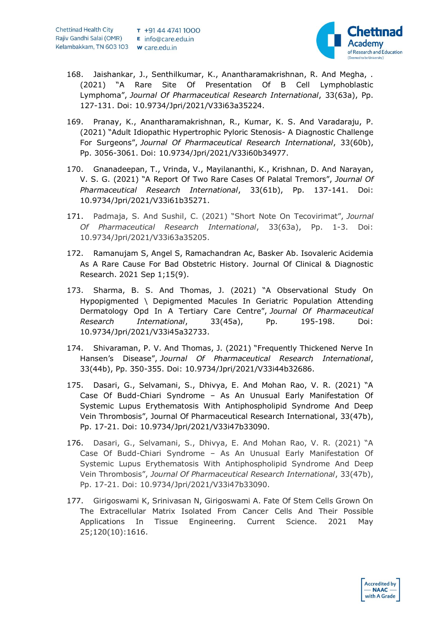

- 168. Jaishankar, J., Senthilkumar, K., Anantharamakrishnan, R. And Megha, . (2021) "A Rare Site Of Presentation Of B Cell Lymphoblastic Lymphoma", *Journal Of Pharmaceutical Research International*, 33(63a), Pp. 127-131. Doi: 10.9734/Jpri/2021/V33i63a35224.
- 169. Pranay, K., Anantharamakrishnan, R., Kumar, K. S. And Varadaraju, P. (2021) "Adult Idiopathic Hypertrophic Pyloric Stenosis- A Diagnostic Challenge For Surgeons", *Journal Of Pharmaceutical Research International*, 33(60b), Pp. 3056-3061. Doi: 10.9734/Jpri/2021/V33i60b34977.
- 170. Gnanadeepan, T., Vrinda, V., Mayilananthi, K., Krishnan, D. And Narayan, V. S. G. (2021) "A Report Of Two Rare Cases Of Palatal Tremors", *Journal Of Pharmaceutical Research International*, 33(61b), Pp. 137-141. Doi: 10.9734/Jpri/2021/V33i61b35271.
- 171. Padmaja, S. And Sushil, C. (2021) "Short Note On Tecovirimat", *Journal Of Pharmaceutical Research International*, 33(63a), Pp. 1-3. Doi: 10.9734/Jpri/2021/V33i63a35205.
- 172. Ramanujam S, Angel S, Ramachandran Ac, Basker Ab. Isovaleric Acidemia As A Rare Cause For Bad Obstetric History. Journal Of Clinical & Diagnostic Research. 2021 Sep 1;15(9).
- 173. Sharma, B. S. And Thomas, J. (2021) "A Observational Study On Hypopigmented \ Depigmented Macules In Geriatric Population Attending Dermatology Opd In A Tertiary Care Centre", *Journal Of Pharmaceutical Research International*, 33(45a), Pp. 195-198. Doi: 10.9734/Jpri/2021/V33i45a32733.
- 174. Shivaraman, P. V. And Thomas, J. (2021) "Frequently Thickened Nerve In Hansen's Disease", *Journal Of Pharmaceutical Research International*, 33(44b), Pp. 350-355. Doi: 10.9734/Jpri/2021/V33i44b32686.
- 175. Dasari, G., Selvamani, S., Dhivya, E. And Mohan Rao, V. R. (2021) "A Case Of Budd-Chiari Syndrome – As An Unusual Early Manifestation Of Systemic Lupus Erythematosis With Antiphospholipid Syndrome And Deep Vein Thrombosis", Journal Of Pharmaceutical Research International, 33(47b), Pp. 17-21. Doi: 10.9734/Jpri/2021/V33i47b33090.
- 176. Dasari, G., Selvamani, S., Dhivya, E. And Mohan Rao, V. R. (2021) "A Case Of Budd-Chiari Syndrome – As An Unusual Early Manifestation Of Systemic Lupus Erythematosis With Antiphospholipid Syndrome And Deep Vein Thrombosis", *Journal Of Pharmaceutical Research International*, 33(47b), Pp. 17-21. Doi: 10.9734/Jpri/2021/V33i47b33090.
- 177. Girigoswami K, Srinivasan N, Girigoswami A. Fate Of Stem Cells Grown On The Extracellular Matrix Isolated From Cancer Cells And Their Possible Applications In Tissue Engineering. Current Science. 2021 May 25;120(10):1616.

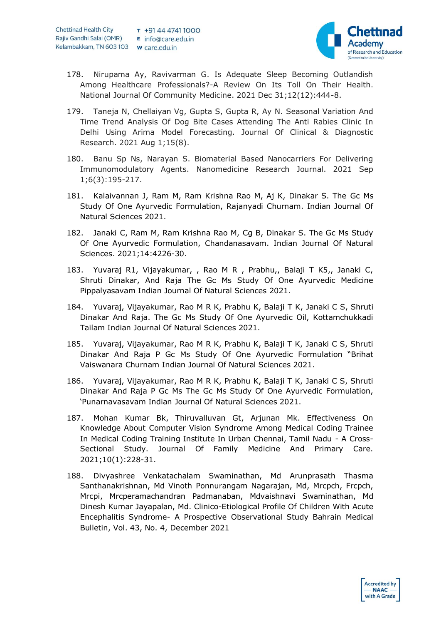

- 178. Nirupama Ay, Ravivarman G. Is Adequate Sleep Becoming Outlandish Among Healthcare Professionals?-A Review On Its Toll On Their Health. National Journal Of Community Medicine. 2021 Dec 31;12(12):444-8.
- 179. Taneja N, Chellaiyan Vg, Gupta S, Gupta R, Ay N. Seasonal Variation And Time Trend Analysis Of Dog Bite Cases Attending The Anti Rabies Clinic In Delhi Using Arima Model Forecasting. Journal Of Clinical & Diagnostic Research. 2021 Aug 1;15(8).
- 180. Banu Sp Ns, Narayan S. Biomaterial Based Nanocarriers For Delivering Immunomodulatory Agents. Nanomedicine Research Journal. 2021 Sep 1;6(3):195-217.
- 181. Kalaivannan J, Ram M, Ram Krishna Rao M, Aj K, Dinakar S. The Gc Ms Study Of One Ayurvedic Formulation, Rajanyadi Churnam. Indian Journal Of Natural Sciences 2021.
- 182. Janaki C, Ram M, Ram Krishna Rao M, Cg B, Dinakar S. The Gc Ms Study Of One Ayurvedic Formulation, Chandanasavam. Indian Journal Of Natural Sciences. 2021;14:4226-30.
- 183. Yuvaraj R1, Vijayakumar, , Rao M R , Prabhu,, Balaji T K5,, Janaki C, Shruti Dinakar, And Raja The Gc Ms Study Of One Ayurvedic Medicine Pippalyasavam Indian Journal Of Natural Sciences 2021.
- 184. Yuvaraj, Vijayakumar, Rao M R K, Prabhu K, Balaji T K, Janaki C S, Shruti Dinakar And Raja. The Gc Ms Study Of One Ayurvedic Oil, Kottamchukkadi Tailam Indian Journal Of Natural Sciences 2021.
- 185. Yuvaraj, Vijayakumar, Rao M R K, Prabhu K, Balaji T K, Janaki C S, Shruti Dinakar And Raja P Gc Ms Study Of One Ayurvedic Formulation "Brihat Vaiswanara Churnam Indian Journal Of Natural Sciences 2021.
- 186. Yuvaraj, Vijayakumar, Rao M R K, Prabhu K, Balaji T K, Janaki C S, Shruti Dinakar And Raja P Gc Ms The Gc Ms Study Of One Ayurvedic Formulation, 'Punarnavasavam Indian Journal Of Natural Sciences 2021.
- 187. Mohan Kumar Bk, Thiruvalluvan Gt, Arjunan Mk. Effectiveness On Knowledge About Computer Vision Syndrome Among Medical Coding Trainee In Medical Coding Training Institute In Urban Chennai, Tamil Nadu - A Cross-Sectional Study. Journal Of Family Medicine And Primary Care. 2021;10(1):228-31.
- 188. Divyashree Venkatachalam Swaminathan, Md Arunprasath Thasma Santhanakrishnan, Md Vinoth Ponnurangam Nagarajan, Md, Mrcpch, Frcpch, Mrcpi, Mrcperamachandran Padmanaban, Mdvaishnavi Swaminathan, Md Dinesh Kumar Jayapalan, Md. Clinico-Etiological Profile Of Children With Acute Encephalitis Syndrome- A Prospective Observational Study Bahrain Medical Bulletin, Vol. 43, No. 4, December 2021

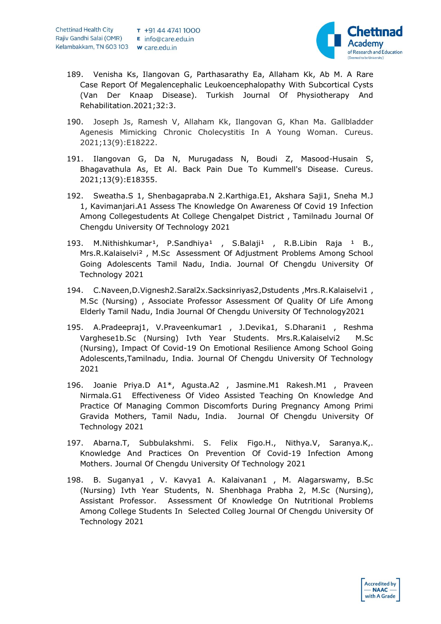

- 189. Venisha Ks, Ilangovan G, Parthasarathy Ea, Allaham Kk, Ab M. A Rare Case Report Of Megalencephalic Leukoencephalopathy With Subcortical Cysts (Van Der Knaap Disease). Turkish Journal Of Physiotherapy And Rehabilitation.2021;32:3.
- 190. Joseph Js, Ramesh V, Allaham Kk, Ilangovan G, Khan Ma. Gallbladder Agenesis Mimicking Chronic Cholecystitis In A Young Woman. Cureus. 2021;13(9):E18222.
- 191. Ilangovan G, Da N, Murugadass N, Boudi Z, Masood-Husain S, Bhagavathula As, Et Al. Back Pain Due To Kummell's Disease. Cureus. 2021;13(9):E18355.
- 192. Sweatha.S 1, Shenbagapraba.N 2.Karthiga.E1, Akshara Saji1, Sneha M.J 1, Kavimanjari.A1 Assess The Knowledge On Awareness Of Covid 19 Infection Among Collegestudents At College Chengalpet District , Tamilnadu Journal Of Chengdu University Of Technology 2021
- 193. M.Nithishkumar<sup>1</sup>, P.Sandhiya<sup>1</sup> , S.Balaji<sup>1</sup> , R.B.Libin Raja <sup>1</sup> B., Mrs.R.Kalaiselvi² , M.Sc Assessment Of Adjustment Problems Among School Going Adolescents Tamil Nadu, India. Journal Of Chengdu University Of Technology 2021
- 194. C.Naveen,D.Vignesh2.Saral2x.Sacksinriyas2,Dstudents ,Mrs.R.Kalaiselvi1 , M.Sc (Nursing) , Associate Professor Assessment Of Quality Of Life Among Elderly Tamil Nadu, India Journal Of Chengdu University Of Technology2021
- 195. A.Pradeepraj1, V.Praveenkumar1 , J.Devika1, S.Dharani1 , Reshma Varghese1b.Sc (Nursing) Ivth Year Students. Mrs.R.Kalaiselvi2 M.Sc (Nursing), Impact Of Covid-19 On Emotional Resilience Among School Going Adolescents,Tamilnadu, India. Journal Of Chengdu University Of Technology 2021
- 196. Joanie Priya.D A1\*, Agusta.A2 , Jasmine.M1 Rakesh.M1 , Praveen Nirmala.G1 Effectiveness Of Video Assisted Teaching On Knowledge And Practice Of Managing Common Discomforts During Pregnancy Among Primi Gravida Mothers, Tamil Nadu, India. Journal Of Chengdu University Of Technology 2021
- 197. Abarna.T, Subbulakshmi. S. Felix Figo.H., Nithya.V, Saranya.K,. Knowledge And Practices On Prevention Of Covid-19 Infection Among Mothers. Journal Of Chengdu University Of Technology 2021
- 198. B. Suganya1 , V. Kavya1 A. Kalaivanan1 , M. Alagarswamy, B.Sc (Nursing) Ivth Year Students, N. Shenbhaga Prabha 2, M.Sc (Nursing), Assistant Professor. Assessment Of Knowledge On Nutritional Problems Among College Students In Selected Colleg Journal Of Chengdu University Of Technology 2021

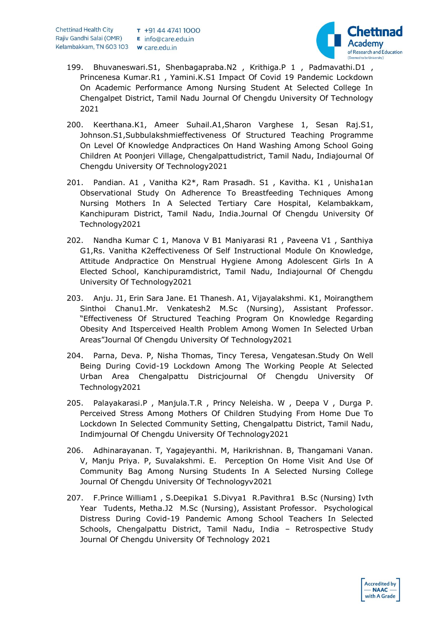

- 199. Bhuvaneswari.S1, Shenbagapraba.N2 , Krithiga.P 1 , Padmavathi.D1 , Princenesa Kumar.R1 , Yamini.K.S1 Impact Of Covid 19 Pandemic Lockdown On Academic Performance Among Nursing Student At Selected College In Chengalpet District, Tamil Nadu Journal Of Chengdu University Of Technology 2021
- 200. Keerthana.K1, Ameer Suhail.A1,Sharon Varghese 1, Sesan Raj.S1, Johnson.S1,Subbulakshmieffectiveness Of Structured Teaching Programme On Level Of Knowledge Andpractices On Hand Washing Among School Going Children At Poonjeri Village, Chengalpattudistrict, Tamil Nadu, Indiajournal Of Chengdu University Of Technology2021
- 201. Pandian. A1 , Vanitha K2\*, Ram Prasadh. S1 , Kavitha. K1 , Unisha1an Observational Study On Adherence To Breastfeeding Techniques Among Nursing Mothers In A Selected Tertiary Care Hospital, Kelambakkam, Kanchipuram District, Tamil Nadu, India.Journal Of Chengdu University Of Technology2021
- 202. Nandha Kumar C 1, Manova V B1 Maniyarasi R1 , Paveena V1 , Santhiya G1,Rs. Vanitha K2effectiveness Of Self Instructional Module On Knowledge, Attitude Andpractice On Menstrual Hygiene Among Adolescent Girls In A Elected School, Kanchipuramdistrict, Tamil Nadu, Indiajournal Of Chengdu University Of Technology2021
- 203. Anju. J1, Erin Sara Jane. E1 Thanesh. A1, Vijayalakshmi. K1, Moirangthem Sinthoi Chanu1.Mr. Venkatesh2 M.Sc (Nursing), Assistant Professor. "Effectiveness Of Structured Teaching Program On Knowledge Regarding Obesity And Itsperceived Health Problem Among Women In Selected Urban Areas"Journal Of Chengdu University Of Technology2021
- 204. Parna, Deva. P, Nisha Thomas, Tincy Teresa, Vengatesan.Study On Well Being During Covid-19 Lockdown Among The Working People At Selected Urban Area Chengalpattu Districjournal Of Chengdu University Of Technology2021
- 205. Palayakarasi.P , Manjula.T.R , Princy Neleisha. W , Deepa V , Durga P. Perceived Stress Among Mothers Of Children Studying From Home Due To Lockdown In Selected Community Setting, Chengalpattu District, Tamil Nadu, Indimjournal Of Chengdu University Of Technology2021
- 206. Adhinarayanan. T, Yagajeyanthi. M, Harikrishnan. B, Thangamani Vanan. V, Manju Priya. P, Suvalakshmi. E. Perception On Home Visit And Use Of Community Bag Among Nursing Students In A Selected Nursing College Journal Of Chengdu University Of Technologyv2021
- 207. F.Prince William1 , S.Deepika1 S.Divya1 R.Pavithra1 B.Sc (Nursing) Ivth Year Tudents, Metha.J2 M.Sc (Nursing), Assistant Professor. Psychological Distress During Covid-19 Pandemic Among School Teachers In Selected Schools, Chengalpattu District, Tamil Nadu, India – Retrospective Study Journal Of Chengdu University Of Technology 2021

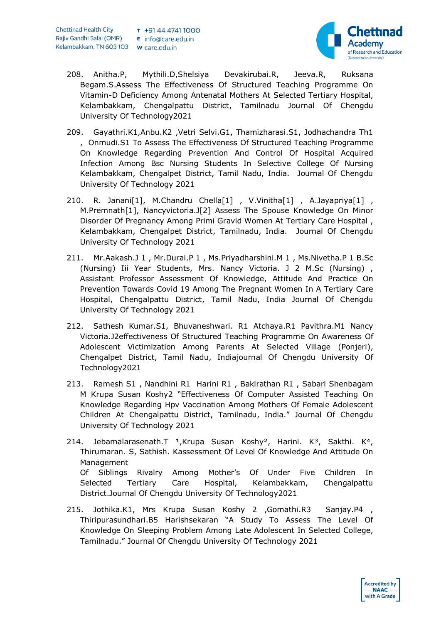

- 208. Anitha.P, Mythili.D,Shelsiya Devakirubai.R, Jeeva.R, Ruksana Begam.S.Assess The Effectiveness Of Structured Teaching Programme On Vitamin-D Deficiency Among Antenatal Mothers At Selected Tertiary Hospital, Kelambakkam, Chengalpattu District, Tamilnadu Journal Of Chengdu University Of Technology2021
- 209. Gayathri.K1,Anbu.K2 ,Vetri Selvi.G1, Thamizharasi.S1, Jodhachandra Th1 , Onmudi.S1 To Assess The Effectiveness Of Structured Teaching Programme On Knowledge Regarding Prevention And Control Of Hospital Acquired Infection Among Bsc Nursing Students In Selective College Of Nursing Kelambakkam, Chengalpet District, Tamil Nadu, India. Journal Of Chengdu University Of Technology 2021
- 210. R. Janani[1], M.Chandru Chella[1], V.Vinitha[1], A.Jayapriya[1], M.Premnath[1], Nancyvictoria.J[2] Assess The Spouse Knowledge On Minor Disorder Of Pregnancy Among Primi Gravid Women At Tertiary Care Hospital , Kelambakkam, Chengalpet District, Tamilnadu, India. Journal Of Chengdu University Of Technology 2021
- 211. Mr.Aakash.J 1 , Mr.Durai.P 1 , Ms.Priyadharshini.M 1 , Ms.Nivetha.P 1 B.Sc (Nursing) Iii Year Students, Mrs. Nancy Victoria. J 2 M.Sc (Nursing) , Assistant Professor Assessment Of Knowledge, Attitude And Practice On Prevention Towards Covid 19 Among The Pregnant Women In A Tertiary Care Hospital, Chengalpattu District, Tamil Nadu, India Journal Of Chengdu University Of Technology 2021
- 212. Sathesh Kumar.S1, Bhuvaneshwari. R1 Atchaya.R1 Pavithra.M1 Nancy Victoria.J2effectiveness Of Structured Teaching Programme On Awareness Of Adolescent Victimization Among Parents At Selected Village (Ponjeri), Chengalpet District, Tamil Nadu, Indiajournal Of Chengdu University Of Technology2021
- 213. Ramesh S1 , Nandhini R1 Harini R1 , Bakirathan R1 , Sabari Shenbagam M Krupa Susan Koshy2 "Effectiveness Of Computer Assisted Teaching On Knowledge Regarding Hpv Vaccination Among Mothers Of Female Adolescent Children At Chengalpattu District, Tamilnadu, India." Journal Of Chengdu University Of Technology 2021
- 214. Jebamalarasenath.T <sup>1</sup>,Krupa Susan Koshy<sup>2</sup>, Harini. K<sup>3</sup>, Sakthi. K<sup>4</sup>, Thirumaran. S, Sathish. Kassessment Of Level Of Knowledge And Attitude On Management Of Siblings Rivalry Among Mother's Of Under Five Children In Selected Tertiary Care Hospital, Kelambakkam, Chengalpattu District.Journal Of Chengdu University Of Technology2021
- 215. Jothika.K1, Mrs Krupa Susan Koshy 2 ,Gomathi.R3 Sanjay.P4 , Thiripurasundhari.B5 Harishsekaran "A Study To Assess The Level Of Knowledge On Sleeping Problem Among Late Adolescent In Selected College, Tamilnadu." Journal Of Chengdu University Of Technology 2021

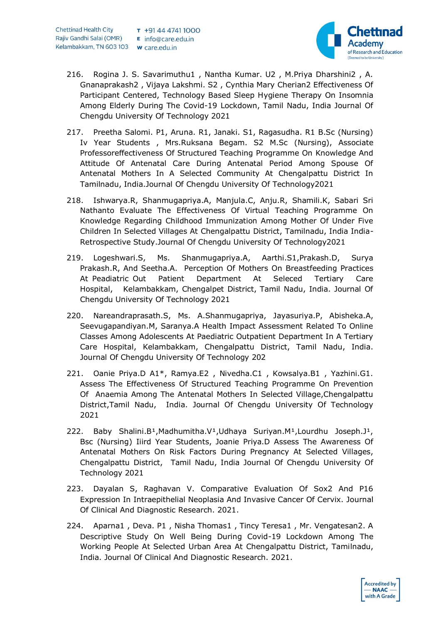

- 216. Rogina J. S. Savarimuthu1 , Nantha Kumar. U2 , M.Priya Dharshini2 , A. Gnanaprakash2 , Vijaya Lakshmi. S2 , Cynthia Mary Cherian2 Effectiveness Of Participant Centered, Technology Based Sleep Hygiene Therapy On Insomnia Among Elderly During The Covid-19 Lockdown, Tamil Nadu, India Journal Of Chengdu University Of Technology 2021
- 217. Preetha Salomi. P1, Aruna. R1, Janaki. S1, Ragasudha. R1 B.Sc (Nursing) Iv Year Students , Mrs.Ruksana Begam. S2 M.Sc (Nursing), Associate Professoreffectiveness Of Structured Teaching Programme On Knowledge And Attitude Of Antenatal Care During Antenatal Period Among Spouse Of Antenatal Mothers In A Selected Community At Chengalpattu District In Tamilnadu, India.Journal Of Chengdu University Of Technology2021
- 218. Ishwarya.R, Shanmugapriya.A, Manjula.C, Anju.R, Shamili.K, Sabari Sri Nathanto Evaluate The Effectiveness Of Virtual Teaching Programme On Knowledge Regarding Childhood Immunization Among Mother Of Under Five Children In Selected Villages At Chengalpattu District, Tamilnadu, India India-Retrospective Study.Journal Of Chengdu University Of Technology2021
- 219. Logeshwari.S, Ms. Shanmugapriya.A, Aarthi.S1,Prakash.D, Surya Prakash.R, And Seetha.A. Perception Of Mothers On Breastfeeding Practices At Peadiatric Out Patient Department At Seleced Tertiary Care Hospital, Kelambakkam, Chengalpet District, Tamil Nadu, India. Journal Of Chengdu University Of Technology 2021
- 220. Nareandraprasath.S, Ms. A.Shanmugapriya, Jayasuriya.P, Abisheka.A, Seevugapandiyan.M, Saranya.A Health Impact Assessment Related To Online Classes Among Adolescents At Paediatric Outpatient Department In A Tertiary Care Hospital, Kelambakkam, Chengalpattu District, Tamil Nadu, India. Journal Of Chengdu University Of Technology 202
- 221. Oanie Priya.D A1\*, Ramya.E2 , Nivedha.C1 , Kowsalya.B1 , Yazhini.G1. Assess The Effectiveness Of Structured Teaching Programme On Prevention Of Anaemia Among The Antenatal Mothers In Selected Village,Chengalpattu District,Tamil Nadu, India. Journal Of Chengdu University Of Technology 2021
- 222. Baby Shalini.B<sup>1</sup>,Madhumitha.V<sup>1</sup>,Udhaya Suriyan.M<sup>1</sup>,Lourdhu Joseph.J<sup>1</sup>, Bsc (Nursing) Iiird Year Students, Joanie Priya.D Assess The Awareness Of Antenatal Mothers On Risk Factors During Pregnancy At Selected Villages, Chengalpattu District, Tamil Nadu, India Journal Of Chengdu University Of Technology 2021
- 223. Dayalan S, Raghavan V. Comparative Evaluation Of Sox2 And P16 Expression In Intraepithelial Neoplasia And Invasive Cancer Of Cervix. Journal Of Clinical And Diagnostic Research. 2021.
- 224. Aparna1, Deva. P1, Nisha Thomas1, Tincy Teresa1, Mr. Vengatesan2. A Descriptive Study On Well Being During Covid-19 Lockdown Among The Working People At Selected Urban Area At Chengalpattu District, Tamilnadu, India. Journal Of Clinical And Diagnostic Research. 2021.

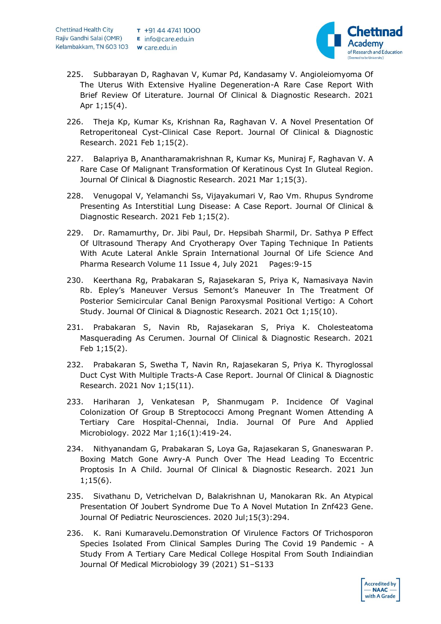

- 225. Subbarayan D, Raghavan V, Kumar Pd, Kandasamy V. Angioleiomyoma Of The Uterus With Extensive Hyaline Degeneration-A Rare Case Report With Brief Review Of Literature. Journal Of Clinical & Diagnostic Research. 2021 Apr 1;15(4).
- 226. Theja Kp, Kumar Ks, Krishnan Ra, Raghavan V. A Novel Presentation Of Retroperitoneal Cyst-Clinical Case Report. Journal Of Clinical & Diagnostic Research. 2021 Feb 1;15(2).
- 227. Balapriya B, Anantharamakrishnan R, Kumar Ks, Muniraj F, Raghavan V. A Rare Case Of Malignant Transformation Of Keratinous Cyst In Gluteal Region. Journal Of Clinical & Diagnostic Research. 2021 Mar 1;15(3).
- 228. Venugopal V, Yelamanchi Ss, Vijayakumari V, Rao Vm. Rhupus Syndrome Presenting As Interstitial Lung Disease: A Case Report. Journal Of Clinical & Diagnostic Research. 2021 Feb 1;15(2).
- 229. Dr. Ramamurthy, Dr. Jibi Paul, Dr. Hepsibah Sharmil, Dr. Sathya P Effect Of Ultrasound Therapy And Cryotherapy Over Taping Technique In Patients With Acute Lateral Ankle Sprain International Journal Of Life Science And Pharma Research Volume 11 Issue 4, July 2021 Pages:9-15
- 230. Keerthana Rg, Prabakaran S, Rajasekaran S, Priya K, Namasivaya Navin Rb. Epley's Maneuver Versus Semont's Maneuver In The Treatment Of Posterior Semicircular Canal Benign Paroxysmal Positional Vertigo: A Cohort Study. Journal Of Clinical & Diagnostic Research. 2021 Oct 1;15(10).
- 231. Prabakaran S, Navin Rb, Rajasekaran S, Priya K. Cholesteatoma Masquerading As Cerumen. Journal Of Clinical & Diagnostic Research. 2021 Feb 1;15(2).
- 232. Prabakaran S, Swetha T, Navin Rn, Rajasekaran S, Priya K. Thyroglossal Duct Cyst With Multiple Tracts-A Case Report. Journal Of Clinical & Diagnostic Research. 2021 Nov 1;15(11).
- 233. Hariharan J, Venkatesan P, Shanmugam P. Incidence Of Vaginal Colonization Of Group B Streptococci Among Pregnant Women Attending A Tertiary Care Hospital-Chennai, India. Journal Of Pure And Applied Microbiology. 2022 Mar 1;16(1):419-24.
- 234. Nithyanandam G, Prabakaran S, Loya Ga, Rajasekaran S, Gnaneswaran P. Boxing Match Gone Awry-A Punch Over The Head Leading To Eccentric Proptosis In A Child. Journal Of Clinical & Diagnostic Research. 2021 Jun 1;15(6).
- 235. Sivathanu D, Vetrichelvan D, Balakrishnan U, Manokaran Rk. An Atypical Presentation Of Joubert Syndrome Due To A Novel Mutation In Znf423 Gene. Journal Of Pediatric Neurosciences. 2020 Jul;15(3):294.
- 236. K. Rani Kumaravelu.Demonstration Of Virulence Factors Of Trichosporon Species Isolated From Clinical Samples During The Covid 19 Pandemic - A Study From A Tertiary Care Medical College Hospital From South Indiaindian Journal Of Medical Microbiology 39 (2021) S1–S133

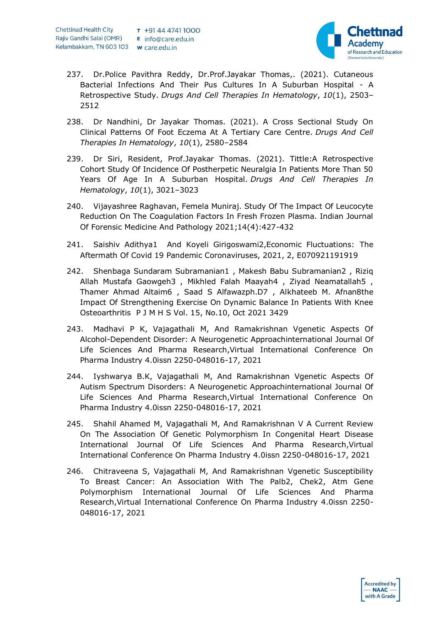

- 237. Dr.Police Pavithra Reddy, Dr.Prof.Jayakar Thomas,. (2021). Cutaneous Bacterial Infections And Their Pus Cultures In A Suburban Hospital - A Retrospective Study. *Drugs And Cell Therapies In Hematology*, *10*(1), 2503– 2512
- 238. Dr Nandhini, Dr Jayakar Thomas. (2021). A Cross Sectional Study On Clinical Patterns Of Foot Eczema At A Tertiary Care Centre. *Drugs And Cell Therapies In Hematology*, *10*(1), 2580–2584
- 239. Dr Siri, Resident, Prof.Jayakar Thomas. (2021). Tittle:A Retrospective Cohort Study Of Incidence Of Postherpetic Neuralgia In Patients More Than 50 Years Of Age In A Suburban Hospital. *Drugs And Cell Therapies In Hematology*, *10*(1), 3021–3023
- 240. Vijayashree Raghavan, Femela Muniraj. Study Of The Impact Of Leucocyte Reduction On The Coagulation Factors In Fresh Frozen Plasma. Indian Journal Of Forensic Medicine And Pathology 2021;14(4):427-432
- 241. Saishiv Adithya1 And Koyeli Girigoswami2,Economic Fluctuations: The Aftermath Of Covid 19 Pandemic Coronaviruses, 2021, 2, E070921191919
- 242. Shenbaga Sundaram Subramanian1 , Makesh Babu Subramanian2 , Riziq Allah Mustafa Gaowgeh3 , Mikhled Falah Maayah4 , Ziyad Neamatallah5 , Thamer Ahmad Altaim6 , Saad S Alfawazph.D7 , Alkhateeb M. Afnan8the Impact Of Strengthening Exercise On Dynamic Balance In Patients With Knee Osteoarthritis P J M H S Vol. 15, No.10, Oct 2021 3429
- 243. Madhavi P K, Vajagathali M, And Ramakrishnan Vgenetic Aspects Of Alcohol-Dependent Disorder: A Neurogenetic Approachinternational Journal Of Life Sciences And Pharma Research,Virtual International Conference On Pharma Industry 4.0issn 2250-048016-17, 2021
- 244. Iyshwarya B.K, Vajagathali M, And Ramakrishnan Vgenetic Aspects Of Autism Spectrum Disorders: A Neurogenetic Approachinternational Journal Of Life Sciences And Pharma Research,Virtual International Conference On Pharma Industry 4.0issn 2250-048016-17, 2021
- 245. Shahil Ahamed M, Vajagathali M, And Ramakrishnan V A Current Review On The Association Of Genetic Polymorphism In Congenital Heart Disease International Journal Of Life Sciences And Pharma Research,Virtual International Conference On Pharma Industry 4.0issn 2250-048016-17, 2021
- 246. Chitraveena S, Vajagathali M, And Ramakrishnan Vgenetic Susceptibility To Breast Cancer: An Association With The Palb2, Chek2, Atm Gene Polymorphism International Journal Of Life Sciences And Pharma Research,Virtual International Conference On Pharma Industry 4.0issn 2250- 048016-17, 2021

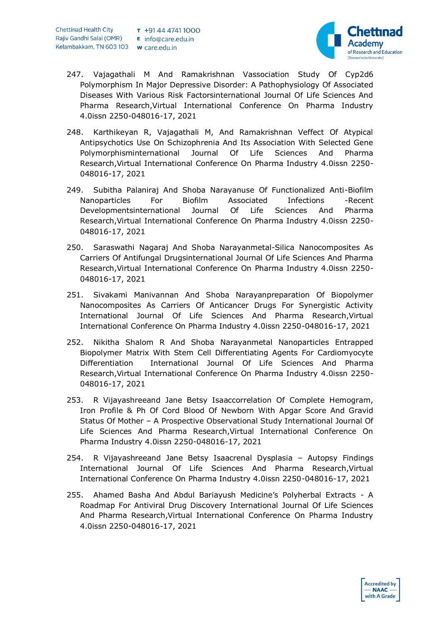

- 247. Vajagathali M And Ramakrishnan Vassociation Study Of Cyp2d6 Polymorphism In Major Depressive Disorder: A Pathophysiology Of Associated Diseases With Various Risk Factorsinternational Journal Of Life Sciences And Pharma Research,Virtual International Conference On Pharma Industry 4.0issn 2250-048016-17, 2021
- 248. Karthikeyan R, Vajagathali M, And Ramakrishnan Veffect Of Atypical Antipsychotics Use On Schizophrenia And Its Association With Selected Gene Polymorphisminternational Journal Of Life Sciences And Pharma Research,Virtual International Conference On Pharma Industry 4.0issn 2250- 048016-17, 2021
- 249. Subitha Palaniraj And Shoba Narayanuse Of Functionalized Anti-Biofilm Nanoparticles For Biofilm Associated Infections -Recent Developmentsinternational Journal Of Life Sciences And Pharma Research,Virtual International Conference On Pharma Industry 4.0issn 2250- 048016-17, 2021
- 250. Saraswathi Nagaraj And Shoba Narayanmetal-Silica Nanocomposites As Carriers Of Antifungal Drugsinternational Journal Of Life Sciences And Pharma Research,Virtual International Conference On Pharma Industry 4.0issn 2250- 048016-17, 2021
- 251. Sivakami Manivannan And Shoba Narayanpreparation Of Biopolymer Nanocomposites As Carriers Of Anticancer Drugs For Synergistic Activity International Journal Of Life Sciences And Pharma Research,Virtual International Conference On Pharma Industry 4.0issn 2250-048016-17, 2021
- 252. Nikitha Shalom R And Shoba Narayanmetal Nanoparticles Entrapped Biopolymer Matrix With Stem Cell Differentiating Agents For Cardiomyocyte Differentiation International Journal Of Life Sciences And Pharma Research,Virtual International Conference On Pharma Industry 4.0issn 2250- 048016-17, 2021
- 253. R Vijayashreeand Jane Betsy Isaaccorrelation Of Complete Hemogram, Iron Profile & Ph Of Cord Blood Of Newborn With Apgar Score And Gravid Status Of Mother – A Prospective Observational Study International Journal Of Life Sciences And Pharma Research,Virtual International Conference On Pharma Industry 4.0issn 2250-048016-17, 2021
- 254. R Vijayashreeand Jane Betsy Isaacrenal Dysplasia Autopsy Findings International Journal Of Life Sciences And Pharma Research,Virtual International Conference On Pharma Industry 4.0issn 2250-048016-17, 2021
- 255. Ahamed Basha And Abdul Bariayush Medicine's Polyherbal Extracts A Roadmap For Antiviral Drug Discovery International Journal Of Life Sciences And Pharma Research,Virtual International Conference On Pharma Industry 4.0issn 2250-048016-17, 2021

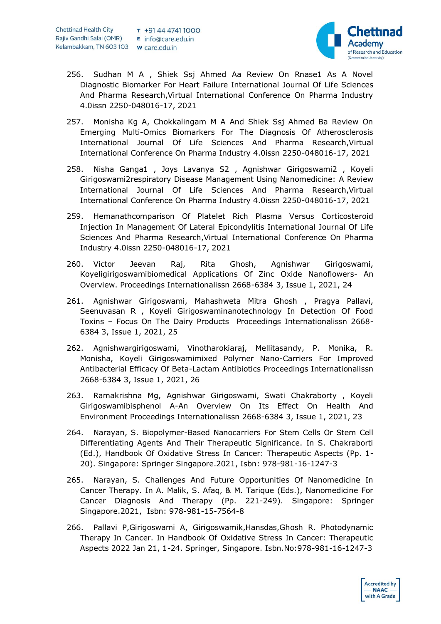

- 256. Sudhan M A , Shiek Ssj Ahmed Aa Review On Rnase1 As A Novel Diagnostic Biomarker For Heart Failure International Journal Of Life Sciences And Pharma Research,Virtual International Conference On Pharma Industry 4.0issn 2250-048016-17, 2021
- 257. Monisha Kg A, Chokkalingam M A And Shiek Ssj Ahmed Ba Review On Emerging Multi-Omics Biomarkers For The Diagnosis Of Atherosclerosis International Journal Of Life Sciences And Pharma Research,Virtual International Conference On Pharma Industry 4.0issn 2250-048016-17, 2021
- 258. Nisha Ganga1 , Joys Lavanya S2 , Agnishwar Girigoswami2 , Koyeli Girigoswami2respiratory Disease Management Using Nanomedicine: A Review International Journal Of Life Sciences And Pharma Research,Virtual International Conference On Pharma Industry 4.0issn 2250-048016-17, 2021
- 259. Hemanathcomparison Of Platelet Rich Plasma Versus Corticosteroid Injection In Management Of Lateral Epicondylitis International Journal Of Life Sciences And Pharma Research,Virtual International Conference On Pharma Industry 4.0issn 2250-048016-17, 2021
- 260. Victor Jeevan Raj, Rita Ghosh, Agnishwar Girigoswami, Koyeligirigoswamibiomedical Applications Of Zinc Oxide Nanoflowers- An Overview. Proceedings Internationalissn 2668-6384 3, Issue 1, 2021, 24
- 261. Agnishwar Girigoswami, Mahashweta Mitra Ghosh , Pragya Pallavi, Seenuvasan R , Koyeli Girigoswaminanotechnology In Detection Of Food Toxins – Focus On The Dairy Products Proceedings Internationalissn 2668- 6384 3, Issue 1, 2021, 25
- 262. Agnishwargirigoswami, Vinotharokiaraj, Mellitasandy, P. Monika, R. Monisha, Koyeli Girigoswamimixed Polymer Nano-Carriers For Improved Antibacterial Efficacy Of Beta-Lactam Antibiotics Proceedings Internationalissn 2668-6384 3, Issue 1, 2021, 26
- 263. Ramakrishna Mg, Agnishwar Girigoswami, Swati Chakraborty , Koyeli Girigoswamibisphenol A-An Overview On Its Effect On Health And Environment Proceedings Internationalissn 2668-6384 3, Issue 1, 2021, 23
- 264. Narayan, S. Biopolymer-Based Nanocarriers For Stem Cells Or Stem Cell Differentiating Agents And Their Therapeutic Significance. In S. Chakraborti (Ed.), Handbook Of Oxidative Stress In Cancer: Therapeutic Aspects (Pp. 1- 20). Singapore: Springer Singapore.2021, Isbn: 978-981-16-1247-3
- 265. Narayan, S. Challenges And Future Opportunities Of Nanomedicine In Cancer Therapy. In A. Malik, S. Afaq, & M. Tarique (Eds.), Nanomedicine For Cancer Diagnosis And Therapy (Pp. 221-249). Singapore: Springer Singapore.2021, Isbn: 978-981-15-7564-8
- 266. Pallavi P,Girigoswami A, Girigoswamik,Hansdas,Ghosh R. Photodynamic Therapy In Cancer. In Handbook Of Oxidative Stress In Cancer: Therapeutic Aspects 2022 Jan 21, 1-24. Springer, Singapore. Isbn.No:978-981-16-1247-3

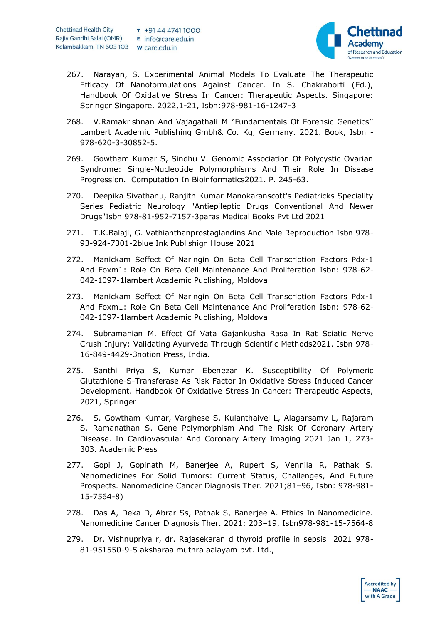

**Accredited by**  $- **N A C**$ with A Grade

- 267. Narayan, S. Experimental Animal Models To Evaluate The Therapeutic Efficacy Of Nanoformulations Against Cancer. In S. Chakraborti (Ed.), Handbook Of Oxidative Stress In Cancer: Therapeutic Aspects. Singapore: Springer Singapore. 2022,1-21, Isbn:978-981-16-1247-3
- 268. V.Ramakrishnan And Vajagathali M "Fundamentals Of Forensic Genetics'' Lambert Academic Publishing Gmbh& Co. Kg, Germany. 2021. Book, Isbn - 978-620-3-30852-5.
- 269. Gowtham Kumar S, Sindhu V. Genomic Association Of Polycystic Ovarian Syndrome: Single-Nucleotide Polymorphisms And Their Role In Disease Progression. Computation In Bioinformatics2021. P. 245-63.
- 270. Deepika Sivathanu, Ranjith Kumar Manokaranscott's Pediatricks Speciality Series Pediatric Neurology "Antiepileptic Drugs Conventional And Newer Drugs"Isbn 978-81-952-7157-3paras Medical Books Pvt Ltd 2021
- 271. T.K.Balaji, G. Vathianthanprostaglandins And Male Reproduction Isbn 978- 93-924-7301-2blue Ink Publishign House 2021
- 272. Manickam Seffect Of Naringin On Beta Cell Transcription Factors Pdx-1 And Foxm1: Role On Beta Cell Maintenance And Proliferation Isbn: 978-62- 042-1097-1lambert Academic Publishing, Moldova
- 273. Manickam Seffect Of Naringin On Beta Cell Transcription Factors Pdx-1 And Foxm1: Role On Beta Cell Maintenance And Proliferation Isbn: 978-62- 042-1097-1lambert Academic Publishing, Moldova
- 274. Subramanian M. Effect Of Vata Gajankusha Rasa In Rat Sciatic Nerve Crush Injury: Validating Ayurveda Through Scientific Methods2021. Isbn 978- 16-849-4429-3notion Press, India.
- 275. Santhi Priya S, Kumar Ebenezar K. Susceptibility Of Polymeric Glutathione-S-Transferase As Risk Factor In Oxidative Stress Induced Cancer Development. Handbook Of Oxidative Stress In Cancer: Therapeutic Aspects, 2021, Springer
- 276. S. Gowtham Kumar, Varghese S, Kulanthaivel L, Alagarsamy L, Rajaram S, Ramanathan S. Gene Polymorphism And The Risk Of Coronary Artery Disease. In Cardiovascular And Coronary Artery Imaging 2021 Jan 1, 273- 303. Academic Press
- 277. Gopi J, Gopinath M, Banerjee A, Rupert S, Vennila R, Pathak S. Nanomedicines For Solid Tumors: Current Status, Challenges, And Future Prospects. Nanomedicine Cancer Diagnosis Ther. 2021;81–96, Isbn: 978-981- 15-7564-8)
- 278. Das A, Deka D, Abrar Ss, Pathak S, Banerjee A. Ethics In Nanomedicine. Nanomedicine Cancer Diagnosis Ther. 2021; 203–19, Isbn978-981-15-7564-8
- 279. Dr. Vishnupriya r, dr. Rajasekaran d thyroid profile in sepsis 2021 978- 81-951550-9-5 aksharaa muthra aalayam pvt. Ltd.,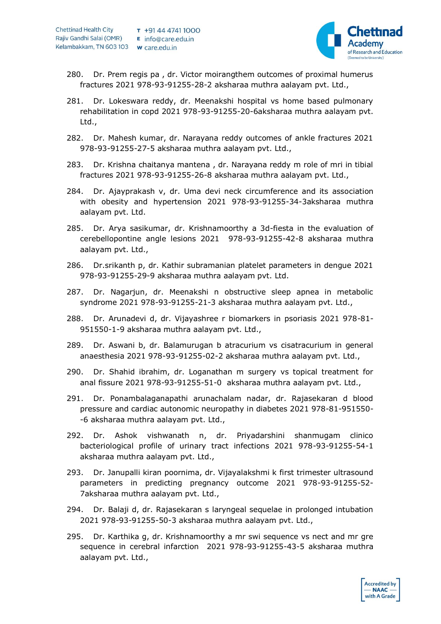

- 280. Dr. Prem regis pa , dr. Victor moirangthem outcomes of proximal humerus fractures 2021 978-93-91255-28-2 aksharaa muthra aalayam pvt. Ltd.,
- 281. Dr. Lokeswara reddy, dr. Meenakshi hospital vs home based pulmonary rehabilitation in copd 2021 978-93-91255-20-6aksharaa muthra aalayam pvt. Ltd.,
- 282. Dr. Mahesh kumar, dr. Narayana reddy outcomes of ankle fractures 2021 978-93-91255-27-5 aksharaa muthra aalayam pvt. Ltd.,
- 283. Dr. Krishna chaitanya mantena , dr. Narayana reddy m role of mri in tibial fractures 2021 978-93-91255-26-8 aksharaa muthra aalayam pvt. Ltd.,
- 284. Dr. Ajayprakash v, dr. Uma devi neck circumference and its association with obesity and hypertension 2021 978-93-91255-34-3aksharaa muthra aalayam pvt. Ltd.
- 285. Dr. Arya sasikumar, dr. Krishnamoorthy a 3d-fiesta in the evaluation of cerebellopontine angle lesions 2021 978-93-91255-42-8 aksharaa muthra aalayam pvt. Ltd.,
- 286. Dr.srikanth p, dr. Kathir subramanian platelet parameters in dengue 2021 978-93-91255-29-9 aksharaa muthra aalayam pvt. Ltd.
- 287. Dr. Nagarjun, dr. Meenakshi n obstructive sleep apnea in metabolic syndrome 2021 978-93-91255-21-3 aksharaa muthra aalayam pvt. Ltd.,
- 288. Dr. Arunadevi d, dr. Vijayashree r biomarkers in psoriasis 2021 978-81- 951550-1-9 aksharaa muthra aalayam pvt. Ltd.,
- 289. Dr. Aswani b, dr. Balamurugan b atracurium vs cisatracurium in general anaesthesia 2021 978-93-91255-02-2 aksharaa muthra aalayam pvt. Ltd.,
- 290. Dr. Shahid ibrahim, dr. Loganathan m surgery vs topical treatment for anal fissure 2021 978-93-91255-51-0 aksharaa muthra aalayam pvt. Ltd.,
- 291. Dr. Ponambalaganapathi arunachalam nadar, dr. Rajasekaran d blood pressure and cardiac autonomic neuropathy in diabetes 2021 978-81-951550- -6 aksharaa muthra aalayam pvt. Ltd.,
- 292. Dr. Ashok vishwanath n, dr. Priyadarshini shanmugam clinico bacteriological profile of urinary tract infections 2021 978-93-91255-54-1 aksharaa muthra aalayam pvt. Ltd.,
- 293. Dr. Janupalli kiran poornima, dr. Vijayalakshmi k first trimester ultrasound parameters in predicting pregnancy outcome 2021 978-93-91255-52- 7aksharaa muthra aalayam pvt. Ltd.,
- 294. Dr. Balaji d, dr. Rajasekaran s laryngeal sequelae in prolonged intubation 2021 978-93-91255-50-3 aksharaa muthra aalayam pvt. Ltd.,
- 295. Dr. Karthika g, dr. Krishnamoorthy a mr swi sequence vs nect and mr gre sequence in cerebral infarction 2021 978-93-91255-43-5 aksharaa muthra aalayam pvt. Ltd.,

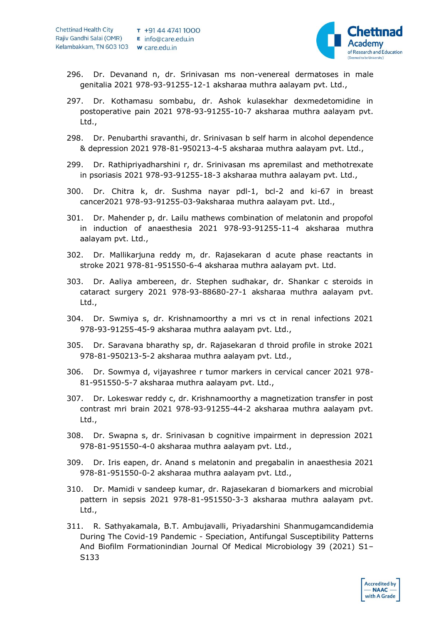

- 296. Dr. Devanand n, dr. Srinivasan ms non-venereal dermatoses in male genitalia 2021 978-93-91255-12-1 aksharaa muthra aalayam pvt. Ltd.,
- 297. Dr. Kothamasu sombabu, dr. Ashok kulasekhar dexmedetomidine in postoperative pain 2021 978-93-91255-10-7 aksharaa muthra aalayam pvt. Ltd.,
- 298. Dr. Penubarthi sravanthi, dr. Srinivasan b self harm in alcohol dependence & depression 2021 978-81-950213-4-5 aksharaa muthra aalayam pvt. Ltd.,
- 299. Dr. Rathipriyadharshini r, dr. Srinivasan ms apremilast and methotrexate in psoriasis 2021 978-93-91255-18-3 aksharaa muthra aalayam pvt. Ltd.,
- 300. Dr. Chitra k, dr. Sushma nayar pdl-1, bcl-2 and ki-67 in breast cancer2021 978-93-91255-03-9aksharaa muthra aalayam pvt. Ltd.,
- 301. Dr. Mahender p, dr. Lailu mathews combination of melatonin and propofol in induction of anaesthesia 2021 978-93-91255-11-4 aksharaa muthra aalayam pvt. Ltd.,
- 302. Dr. Mallikarjuna reddy m, dr. Rajasekaran d acute phase reactants in stroke 2021 978-81-951550-6-4 aksharaa muthra aalayam pvt. Ltd.
- 303. Dr. Aaliya ambereen, dr. Stephen sudhakar, dr. Shankar c steroids in cataract surgery 2021 978-93-88680-27-1 aksharaa muthra aalayam pvt. Ltd.,
- 304. Dr. Swmiya s, dr. Krishnamoorthy a mri vs ct in renal infections 2021 978-93-91255-45-9 aksharaa muthra aalayam pvt. Ltd.,
- 305. Dr. Saravana bharathy sp, dr. Rajasekaran d throid profile in stroke 2021 978-81-950213-5-2 aksharaa muthra aalayam pvt. Ltd.,
- 306. Dr. Sowmya d, vijayashree r tumor markers in cervical cancer 2021 978- 81-951550-5-7 aksharaa muthra aalayam pvt. Ltd.,
- 307. Dr. Lokeswar reddy c, dr. Krishnamoorthy a magnetization transfer in post contrast mri brain 2021 978-93-91255-44-2 aksharaa muthra aalayam pvt. Ltd.,
- 308. Dr. Swapna s, dr. Srinivasan b cognitive impairment in depression 2021 978-81-951550-4-0 aksharaa muthra aalayam pvt. Ltd.,
- 309. Dr. Iris eapen, dr. Anand s melatonin and pregabalin in anaesthesia 2021 978-81-951550-0-2 aksharaa muthra aalayam pvt. Ltd.,
- 310. Dr. Mamidi v sandeep kumar, dr. Rajasekaran d biomarkers and microbial pattern in sepsis 2021 978-81-951550-3-3 aksharaa muthra aalayam pvt. Ltd.,
- 311. R. Sathyakamala, B.T. Ambujavalli, Priyadarshini Shanmugamcandidemia During The Covid-19 Pandemic - Speciation, Antifungal Susceptibility Patterns And Biofilm Formationindian Journal Of Medical Microbiology 39 (2021) S1– S133